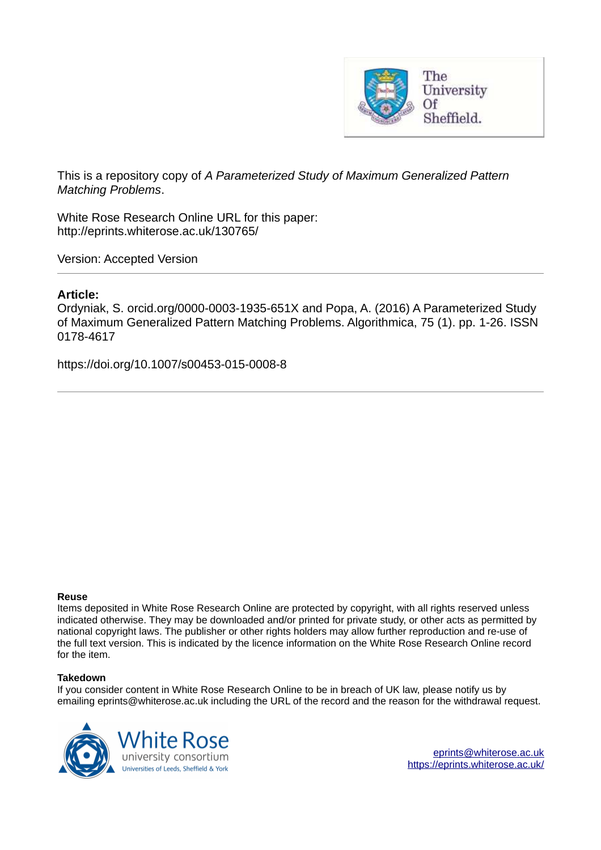

This is a repository copy of *A Parameterized Study of Maximum Generalized Pattern Matching Problems*.

White Rose Research Online URL for this paper: http://eprints.whiterose.ac.uk/130765/

Version: Accepted Version

## **Article:**

Ordyniak, S. orcid.org/0000-0003-1935-651X and Popa, A. (2016) A Parameterized Study of Maximum Generalized Pattern Matching Problems. Algorithmica, 75 (1). pp. 1-26. ISSN 0178-4617

https://doi.org/10.1007/s00453-015-0008-8

### **Reuse**

Items deposited in White Rose Research Online are protected by copyright, with all rights reserved unless indicated otherwise. They may be downloaded and/or printed for private study, or other acts as permitted by national copyright laws. The publisher or other rights holders may allow further reproduction and re-use of the full text version. This is indicated by the licence information on the White Rose Research Online record for the item.

### **Takedown**

If you consider content in White Rose Research Online to be in breach of UK law, please notify us by emailing eprints@whiterose.ac.uk including the URL of the record and the reason for the withdrawal request.



[eprints@whiterose.ac.uk](mailto:eprints@whiterose.ac.uk) <https://eprints.whiterose.ac.uk/>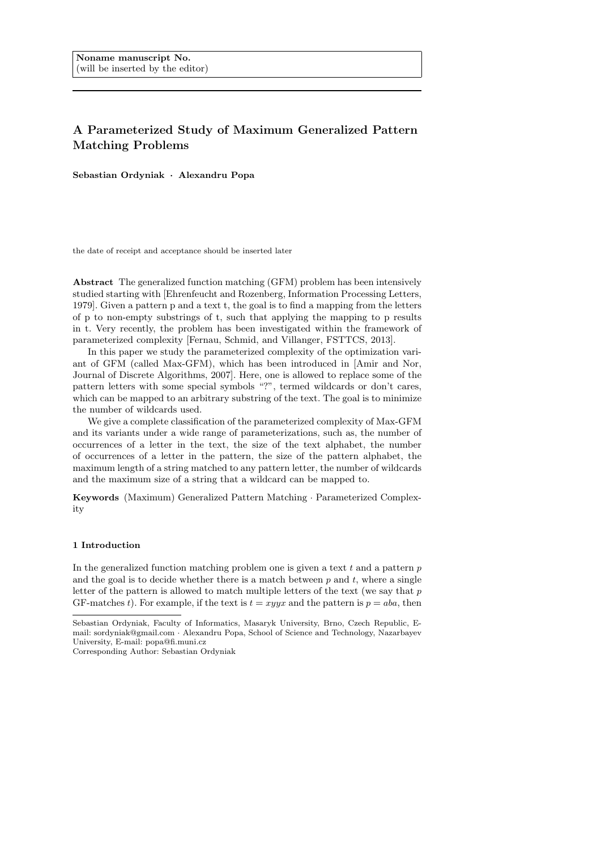# A Parameterized Study of Maximum Generalized Pattern Matching Problems

Sebastian Ordyniak · Alexandru Popa

the date of receipt and acceptance should be inserted later

Abstract The generalized function matching (GFM) problem has been intensively studied starting with [Ehrenfeucht and Rozenberg, Information Processing Letters, 1979]. Given a pattern p and a text t, the goal is to find a mapping from the letters of p to non-empty substrings of t, such that applying the mapping to p results in t. Very recently, the problem has been investigated within the framework of parameterized complexity [Fernau, Schmid, and Villanger, FSTTCS, 2013].

In this paper we study the parameterized complexity of the optimization variant of GFM (called Max-GFM), which has been introduced in [Amir and Nor, Journal of Discrete Algorithms, 2007]. Here, one is allowed to replace some of the pattern letters with some special symbols "?", termed wildcards or don't cares, which can be mapped to an arbitrary substring of the text. The goal is to minimize the number of wildcards used.

We give a complete classification of the parameterized complexity of Max-GFM and its variants under a wide range of parameterizations, such as, the number of occurrences of a letter in the text, the size of the text alphabet, the number of occurrences of a letter in the pattern, the size of the pattern alphabet, the maximum length of a string matched to any pattern letter, the number of wildcards and the maximum size of a string that a wildcard can be mapped to.

Keywords (Maximum) Generalized Pattern Matching · Parameterized Complexity

#### 1 Introduction

In the generalized function matching problem one is given a text  $t$  and a pattern  $p$ and the goal is to decide whether there is a match between  $p$  and  $t$ , where a single letter of the pattern is allowed to match multiple letters of the text (we say that  $p$ ) GF-matches t). For example, if the text is  $t = xyyx$  and the pattern is  $p = aba$ , then

Sebastian Ordyniak, Faculty of Informatics, Masaryk University, Brno, Czech Republic, Email: sordyniak@gmail.com · Alexandru Popa, School of Science and Technology, Nazarbayev University, E-mail: popa@fi.muni.cz

Corresponding Author: Sebastian Ordyniak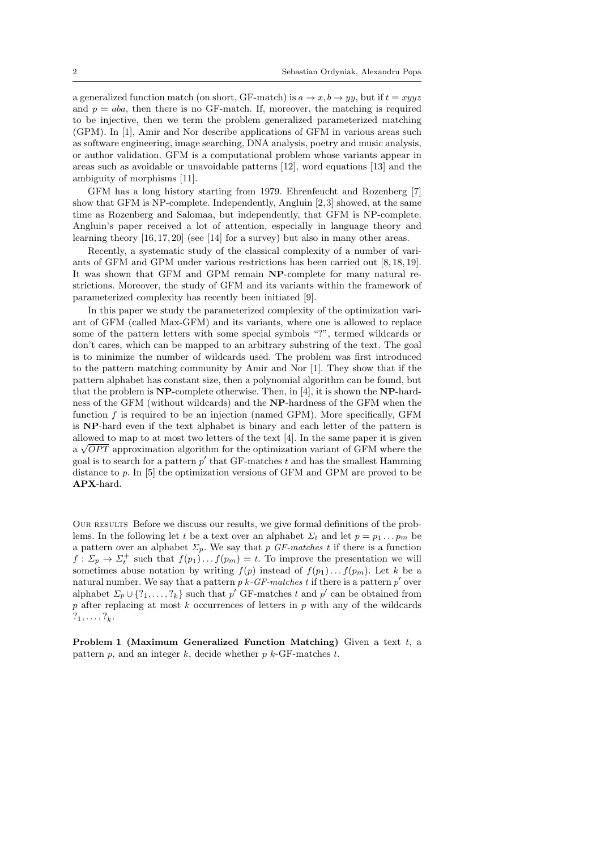a generalized function match (on short, GF-match) is  $a \to x, b \to yy$ , but if  $t = xyyz$ and  $p = aba$ , then there is no GF-match. If, moreover, the matching is required to be injective, then we term the problem generalized parameterized matching (GPM). In [1], Amir and Nor describe applications of GFM in various areas such as software engineering, image searching, DNA analysis, poetry and music analysis, or author validation. GFM is a computational problem whose variants appear in areas such as avoidable or unavoidable patterns [12], word equations [13] and the ambiguity of morphisms [11].

GFM has a long history starting from 1979. Ehrenfeucht and Rozenberg [7] show that GFM is NP-complete. Independently, Angluin [2,3] showed, at the same time as Rozenberg and Salomaa, but independently, that GFM is NP-complete. Angluin's paper received a lot of attention, especially in language theory and learning theory [16, 17, 20] (see [14] for a survey) but also in many other areas.

Recently, a systematic study of the classical complexity of a number of variants of GFM and GPM under various restrictions has been carried out [8, 18, 19]. It was shown that GFM and GPM remain NP-complete for many natural restrictions. Moreover, the study of GFM and its variants within the framework of parameterized complexity has recently been initiated [9].

In this paper we study the parameterized complexity of the optimization variant of GFM (called Max-GFM) and its variants, where one is allowed to replace some of the pattern letters with some special symbols "?", termed wildcards or don't cares, which can be mapped to an arbitrary substring of the text. The goal is to minimize the number of wildcards used. The problem was first introduced to the pattern matching community by Amir and Nor [1]. They show that if the pattern alphabet has constant size, then a polynomial algorithm can be found, but that the problem is NP-complete otherwise. Then, in [4], it is shown the NP-hardness of the GFM (without wildcards) and the NP-hardness of the GFM when the function  $f$  is required to be an injection (named GPM). More specifically, GFM is NP-hard even if the text alphabet is binary and each letter of the pattern is allowed to map to at most two letters of the text [4]. In the same paper it is given  $a \sqrt{OPT}$  approximation algorithm for the optimization variant of GFM where the goal is to search for a pattern  $p'$  that GF-matches  $t$  and has the smallest Hamming distance to p. In [5] the optimization versions of GFM and GPM are proved to be APX-hard.

Our results Before we discuss our results, we give formal definitions of the problems. In the following let t be a text over an alphabet  $\Sigma_t$  and let  $p = p_1 \dots p_m$  be a pattern over an alphabet  $\Sigma_p$ . We say that p *GF-matches* t if there is a function  $f: \Sigma_p \to \Sigma_t^+$  such that  $f(p_1) \dots f(p_m) = t$ . To improve the presentation we will sometimes abuse notation by writing  $f(p)$  instead of  $f(p_1)... f(p_m)$ . Let k be a natural number. We say that a pattern  $p\ k-GF-matches\ t$  if there is a pattern  $p'$  over alphabet  $\Sigma_p \cup \{?_1, \ldots, ?_k\}$  such that  $p'$  GF-matches t and  $p'$  can be obtained from  $p$  after replacing at most  $k$  occurrences of letters in  $p$  with any of the wildcards  $?_1, \ldots, ?_k.$ 

**Problem 1 (Maximum Generalized Function Matching)** Given a text  $t$ , a pattern  $p$ , and an integer  $k$ , decide whether  $p$   $k$ -GF-matches  $t$ .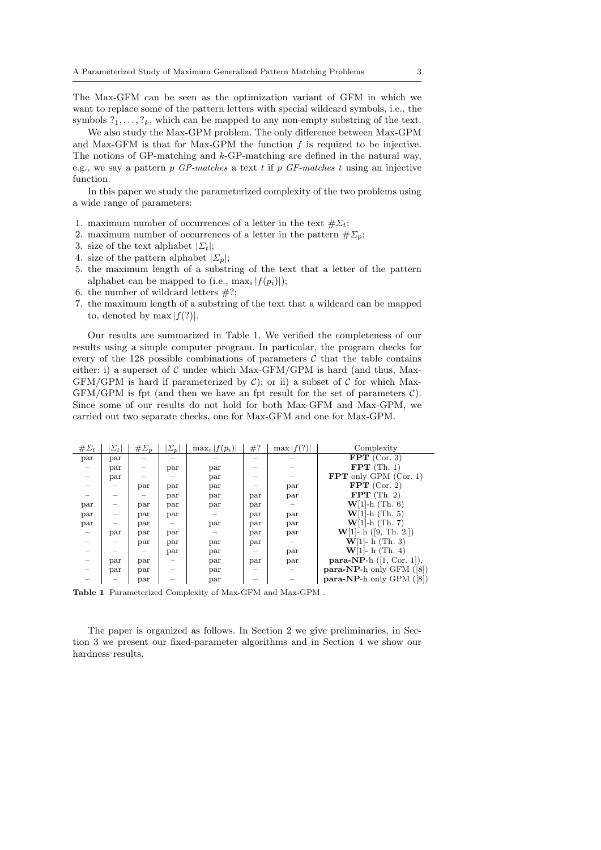The Max-GFM can be seen as the optimization variant of GFM in which we want to replace some of the pattern letters with special wildcard symbols, i.e., the symbols  $?_1, \ldots, ?_k$ , which can be mapped to any non-empty substring of the text.

We also study the Max-GPM problem. The only difference between Max-GPM and Max-GFM is that for Max-GPM the function  $f$  is required to be injective. The notions of GP-matching and k-GP-matching are defined in the natural way, e.g., we say a pattern p *GP-matches* a text t if p *GF-matches* t using an injective function.

In this paper we study the parameterized complexity of the two problems using a wide range of parameters:

- 1. maximum number of occurrences of a letter in the text  $\#\Sigma_t$ ;
- 2. maximum number of occurrences of a letter in the pattern  $\#\Sigma_p$ ;
- 3. size of the text alphabet  $|\Sigma_t|$ ;
- 4. size of the pattern alphabet  $|\Sigma_p|$ ;
- 5. the maximum length of a substring of the text that a letter of the pattern alphabet can be mapped to (i.e.,  $\max_i |f(p_i)|$ );
- 6. the number of wildcard letters  $\#?$ ;
- 7. the maximum length of a substring of the text that a wildcard can be mapped to, denoted by max  $|f(?)|$ .

Our results are summarized in Table 1. We verified the completeness of our results using a simple computer program. In particular, the program checks for every of the 128 possible combinations of parameters  $C$  that the table contains either: i) a superset of  $\mathcal C$  under which Max-GFM/GPM is hard (and thus, Max-GFM/GPM is hard if parameterized by  $\mathcal{C}$ ; or ii) a subset of  $\mathcal{C}$  for which Max- $GFM/GPM$  is fpt (and then we have an fpt result for the set of parameters  $C$ ). Since some of our results do not hold for both Max-GFM and Max-GPM, we carried out two separate checks, one for Max-GFM and one for Max-GPM.

| $\#\Sigma_t$ | $ \Sigma_t $ | $\#\Sigma_p$ | $\Sigma_p$ | $\max_i  f(p_i) $ | #?  | $\max  f(?) $ | Complexity                   |
|--------------|--------------|--------------|------------|-------------------|-----|---------------|------------------------------|
| par          | par          |              |            |                   |     |               | $FPT$ (Cor. 3)               |
|              | par          |              | par        | par               |     |               | $FPT$ (Th. 1)                |
|              | par          |              |            | par               |     |               | $FPT$ only GPM (Cor. 1)      |
|              |              | par          | par        | par               |     | par           | FPT $(Cor. 2)$               |
|              |              |              | par        | par               | par | par           | $FPT$ (Th. 2)                |
| par          |              | par          | par        | par               | par | $-$           | $W[1]-h$ (Th. 6)             |
| par          |              | par          | par        |                   | par | par           | $W[1]-h$ (Th. 5)             |
| par          |              | par          |            | par               | par | par           | $W[1]-h$ (Th. 7)             |
|              | par          | par          | par        |                   | par | par           | $W[1]$ - h ([9, Th. 2.])     |
|              |              | par          | par        | par               | par |               | $W[1]$ - h (Th. 3)           |
|              |              |              | par        | par               |     | par           | $W[1]$ - h (Th. 4)           |
|              | par          | par          |            | par               | par | par           | $para-NP-h (1, Cor. 1]),$    |
|              | par          | par          |            | par               |     |               | $para-NP-h$ only GFM $([8])$ |
|              |              | par          |            | par               |     |               | $para-NP-h$ only GPM $([8])$ |

Table 1 Parameterized Complexity of Max-GFM and Max-GPM .

The paper is organized as follows. In Section 2 we give preliminaries, in Section 3 we present our fixed-parameter algorithms and in Section 4 we show our hardness results.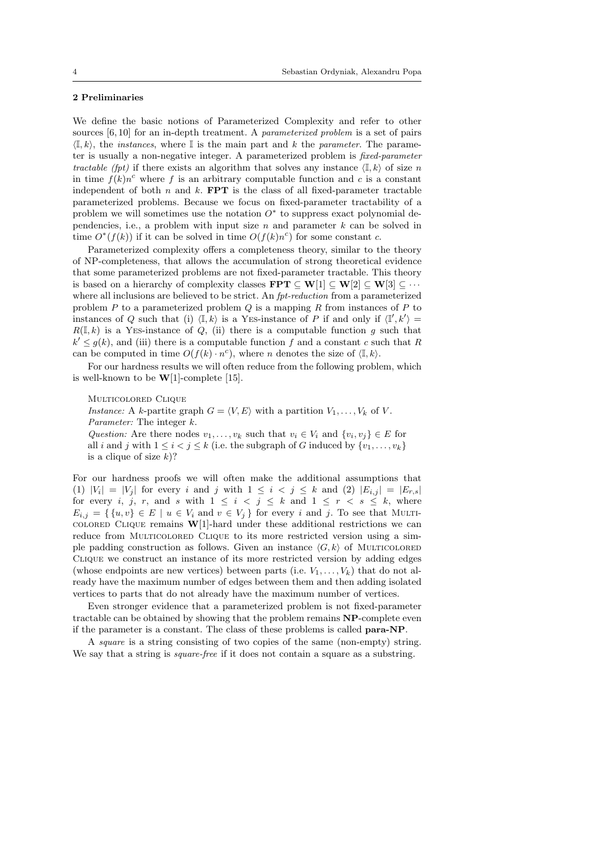#### 2 Preliminaries

We define the basic notions of Parameterized Complexity and refer to other sources [6, 10] for an in-depth treatment. A *parameterized problem* is a set of pairs  $\langle \mathbb{I}, k \rangle$ , the *instances*, where  $\mathbb{I}$  is the main part and k the *parameter*. The parameter is usually a non-negative integer. A parameterized problem is *fixed-parameter tractable (fpt)* if there exists an algorithm that solves any instance  $\langle \mathbb{I}, k \rangle$  of size n in time  $f(k)n^c$  where f is an arbitrary computable function and c is a constant independent of both  $n$  and  $k$ . **FPT** is the class of all fixed-parameter tractable parameterized problems. Because we focus on fixed-parameter tractability of a problem we will sometimes use the notation  $O^*$  to suppress exact polynomial dependencies, i.e., a problem with input size  $n$  and parameter  $k$  can be solved in time  $O^*(f(k))$  if it can be solved in time  $O(f(k)n^c)$  for some constant c.

Parameterized complexity offers a completeness theory, similar to the theory of NP-completeness, that allows the accumulation of strong theoretical evidence that some parameterized problems are not fixed-parameter tractable. This theory is based on a hierarchy of complexity classes  $\mathbf{FPT} \subseteq \mathbf{W}[1] \subseteq \mathbf{W}[2] \subseteq \mathbf{W}[3] \subseteq \cdots$ where all inclusions are believed to be strict. An *fpt-reduction* from a parameterized problem  $P$  to a parameterized problem  $Q$  is a mapping  $R$  from instances of  $P$  to instances of Q such that (i)  $\langle \mathbb{I}, k \rangle$  is a YES-instance of P if and only if  $\langle \mathbb{I}', k' \rangle =$  $R(\mathbb{I},k)$  is a YES-instance of Q, (ii) there is a computable function g such that  $k' \leq g(k)$ , and (iii) there is a computable function f and a constant c such that R can be computed in time  $O(f(k) \cdot n^c)$ , where *n* denotes the size of  $\langle \mathbb{I}, k \rangle$ .

For our hardness results we will often reduce from the following problem, which is well-known to be  $W[1]$ -complete [15].

Multicolored Clique *Instance:* A k-partite graph  $G = \langle V, E \rangle$  with a partition  $V_1, \ldots, V_k$  of V. *Parameter:* The integer k. *Question:* Are there nodes  $v_1, \ldots, v_k$  such that  $v_i \in V_i$  and  $\{v_i, v_j\} \in E$  for all i and j with  $1 \leq i < j \leq k$  (i.e. the subgraph of G induced by  $\{v_1, \ldots, v_k\}$ is a clique of size  $k$ ?

For our hardness proofs we will often make the additional assumptions that (1)  $|V_i| = |V_j|$  for every i and j with  $1 \leq i \leq j \leq k$  and (2)  $|E_{i,j}| = |E_{r,s}|$ for every i, j, r, and s with  $1 \leq i \leq j \leq k$  and  $1 \leq r \leq s \leq k$ , where  $E_{i,j} = \{ \{u, v\} \in E \mid u \in V_i \text{ and } v \in V_j \}$  for every i and j. To see that MULTIcolored Clique remains  $W[1]$ -hard under these additional restrictions we can reduce from MULTICOLORED CLIQUE to its more restricted version using a simple padding construction as follows. Given an instance  $\langle G, k \rangle$  of MULTICOLORED Clique we construct an instance of its more restricted version by adding edges (whose endpoints are new vertices) between parts (i.e.  $V_1, \ldots, V_k$ ) that do not already have the maximum number of edges between them and then adding isolated vertices to parts that do not already have the maximum number of vertices.

Even stronger evidence that a parameterized problem is not fixed-parameter tractable can be obtained by showing that the problem remains NP-complete even if the parameter is a constant. The class of these problems is called para-NP.

A *square* is a string consisting of two copies of the same (non-empty) string. We say that a string is *square-free* if it does not contain a square as a substring.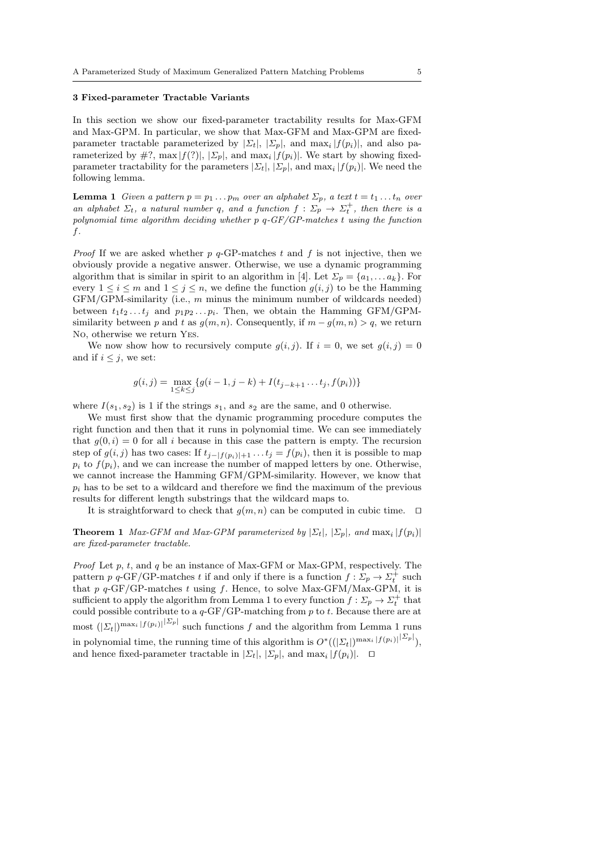#### 3 Fixed-parameter Tractable Variants

In this section we show our fixed-parameter tractability results for Max-GFM and Max-GPM. In particular, we show that Max-GFM and Max-GPM are fixedparameter tractable parameterized by  $|\Sigma_t|, |\Sigma_p|$ , and  $\max_i |f(p_i)|$ , and also parameterized by  $\#$ ?, max  $|f(?)|$ ,  $|\Sigma_p|$ , and max<sub>i</sub>  $|f(p_i)|$ . We start by showing fixedparameter tractability for the parameters  $|\Sigma_t|, |\Sigma_p|$ , and  $\max_i |f(p_i)|$ . We need the following lemma.

**Lemma 1** *Given a pattern*  $p = p_1 \dots p_m$  *over an alphabet*  $\Sigma_p$ *, a text*  $t = t_1 \dots t_n$  *over an alphabet*  $\Sigma_t$ , *a natural number q*, *and a function*  $f : \Sigma_p \to \Sigma_t^+$ , *then there is a polynomial time algorithm deciding whether* p q*-GF/GP-matches* t *using the function* f*.*

*Proof* If we are asked whether  $p$   $q$ -GP-matches t and f is not injective, then we obviously provide a negative answer. Otherwise, we use a dynamic programming algorithm that is similar in spirit to an algorithm in [4]. Let  $\Sigma_p = \{a_1, \ldots a_k\}$ . For every  $1 \leq i \leq m$  and  $1 \leq j \leq n$ , we define the function  $g(i, j)$  to be the Hamming  $GFM/GPM$ -similarity (i.e., m minus the minimum number of wildcards needed) between  $t_1t_2 \ldots t_j$  and  $p_1p_2 \ldots p_i$ . Then, we obtain the Hamming GFM/GPMsimilarity between p and t as  $g(m, n)$ . Consequently, if  $m - g(m, n) > q$ , we return No, otherwise we return Yes.

We now show how to recursively compute  $g(i, j)$ . If  $i = 0$ , we set  $g(i, j) = 0$ and if  $i \leq j$ , we set:

$$
g(i,j) = \max_{1 \leq k \leq j} \{ g(i-1,j-k) + I(t_{j-k+1} \dots t_j, f(p_i)) \}
$$

where  $I(s_1, s_2)$  is 1 if the strings  $s_1$ , and  $s_2$  are the same, and 0 otherwise.

We must first show that the dynamic programming procedure computes the right function and then that it runs in polynomial time. We can see immediately that  $g(0, i) = 0$  for all i because in this case the pattern is empty. The recursion step of  $g(i, j)$  has two cases: If  $t_{j-|f(p_i)|+1} \ldots t_j = f(p_i)$ , then it is possible to map  $p_i$  to  $f(p_i)$ , and we can increase the number of mapped letters by one. Otherwise, we cannot increase the Hamming GFM/GPM-similarity. However, we know that  $p_i$  has to be set to a wildcard and therefore we find the maximum of the previous results for different length substrings that the wildcard maps to.

It is straightforward to check that  $g(m, n)$  can be computed in cubic time. □

**Theorem 1** *Max-GFM and Max-GPM parameterized by*  $|\Sigma_t|, |\Sigma_p|$ , and  $\max_i |f(p_i)|$ *are fixed-parameter tractable.*

*Proof* Let p, t, and q be an instance of Max-GFM or Max-GPM, respectively. The pattern p q-GF/GP-matches t if and only if there is a function  $f: \Sigma_p \to \Sigma_t^+$  such that  $p \, q$ -GF/GP-matches t using f. Hence, to solve Max-GFM/Max-GPM, it is sufficient to apply the algorithm from Lemma 1 to every function  $f: \Sigma_p \to \Sigma_t^+$  that could possible contribute to a  $q$ -GF/GP-matching from p to t. Because there are at most  $(|\Sigma_t|)^{\max_i |f(p_i)|}$  such functions f and the algorithm from Lemma 1 runs in polynomial time, the running time of this algorithm is  $O^*((|\Sigma_t|)^{\max_i |f(p_i)|}^{|\Sigma_p|}),$ and hence fixed-parameter tractable in  $|\Sigma_t|, |\Sigma_p|$ , and  $\max_i |f(p_i)|$ . □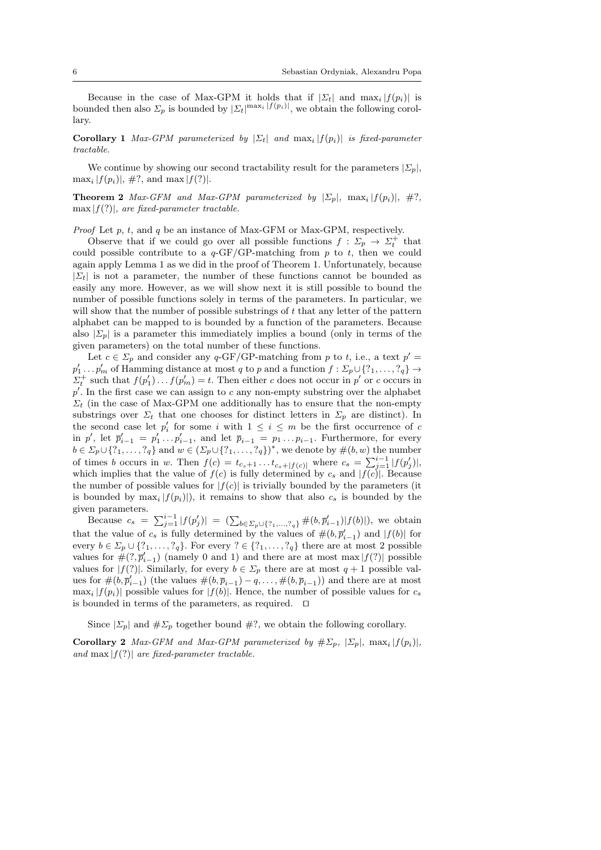Because in the case of Max-GPM it holds that if  $|\Sigma_t|$  and  $\max_i |f(p_i)|$  is bounded then also  $\Sigma_p$  is bounded by  $|\Sigma_t|^{\max_i |f(p_i)|}$ , we obtain the following corollary.

**Corollary 1** *Max-GPM parameterized by*  $|\Sigma_t|$  *and*  $\max_i |f(p_i)|$  *is fixed-parameter tractable.*

We continue by showing our second tractability result for the parameters  $|\Sigma_p|$ ,  $\max_i |f(p_i)|, \#?$ , and  $\max |f(?)|$ .

**Theorem 2** *Max-GFM and Max-GPM parameterized by*  $|\Sigma_p|$ ,  $\max_i |f(p_i)|$ ,  $\#?$ , max |f(?)|*, are fixed-parameter tractable.*

*Proof* Let p, t, and q be an instance of Max-GFM or Max-GPM, respectively.

Observe that if we could go over all possible functions  $f: \Sigma_p \to \Sigma_t^+$  that could possible contribute to a  $q-\text{GF/GP-matching}$  from p to t, then we could again apply Lemma 1 as we did in the proof of Theorem 1. Unfortunately, because  $|\Sigma_t|$  is not a parameter, the number of these functions cannot be bounded as easily any more. However, as we will show next it is still possible to bound the number of possible functions solely in terms of the parameters. In particular, we will show that the number of possible substrings of  $t$  that any letter of the pattern alphabet can be mapped to is bounded by a function of the parameters. Because also  $|\Sigma_p|$  is a parameter this immediately implies a bound (only in terms of the given parameters) on the total number of these functions.

Let  $c \in \Sigma_p$  and consider any q-GF/GP-matching from p to t, i.e., a text  $p' =$  $p'_1 \ldots p'_m$  of Hamming distance at most q to p and a function  $f: \Sigma_p \cup \{?_1, \ldots, ?_q\} \rightarrow$  $\Sigma_t^+$  such that  $f(p'_1) \dots f(p'_m) = t$ . Then either c does not occur in p' or c occurs in  $p'$ . In the first case we can assign to c any non-empty substring over the alphabet  $\Sigma_t$  (in the case of Max-GPM one additionally has to ensure that the non-empty substrings over  $\Sigma_t$  that one chooses for distinct letters in  $\Sigma_p$  are distinct). In the second case let  $p'_i$  for some i with  $1 \leq i \leq m$  be the first occurrence of c in p', let  $\bar{p}'_{i-1} = p'_1 \dots p'_{i-1}$ , and let  $\bar{p}_{i-1} = p_1 \dots p_{i-1}$ . Furthermore, for every  $b \in \Sigma_p \cup \{?_1, \ldots, ?_q\}$  and  $w \in (\Sigma_p \cup \{?_1, \ldots, ?_q\})^*$ , we denote by  $\#(b, w)$  the number of times b occurs in w. Then  $f(c) = t_{c_s+1} \dots t_{c_s+|f(c)|}$  where  $c_s = \sum_{j=1}^{i-1} |f(p'_j)|$ , which implies that the value of  $f(c)$  is fully determined by  $c_s$  and  $|f(c)|$ . Because the number of possible values for  $|f(c)|$  is trivially bounded by the parameters (it is bounded by  $\max_i |f(p_i)|$ , it remains to show that also  $c_s$  is bounded by the given parameters.

Because  $c_s = \sum_{j=1}^{i-1} |f(p'_j)| = (\sum_{b \in \Sigma_p \cup \{?_1, ..., ?_q\}} \#(b, \bar{p}'_{i-1}) |f(b)|)$ , we obtain that the value of  $c_s$  is fully determined by the values of  $\#(b, \overline{p}'_{i-1})$  and  $|f(b)|$  for every  $b \in \Sigma_p \cup \{?_1, \ldots, ?_q\}$ . For every  $? \in \{?_1, \ldots, ?_q\}$  there are at most 2 possible values for  $\#(?, \overline{p}'_{i-1})$  (namely 0 and 1) and there are at most max  $|f(?)|$  possible values for  $|f(?)|$ . Similarly, for every  $b \in \Sigma_p$  there are at most  $q + 1$  possible values for  $\#(b, \overline{p}_{i-1}')$  (the values  $\#(b, \overline{p}_{i-1}) - q, \ldots, \#(b, \overline{p}_{i-1}))$  and there are at most  $\max_i |f(p_i)|$  possible values for  $|f(b)|$ . Hence, the number of possible values for  $c_s$ is bounded in terms of the parameters, as required. ⊓⊔

Since  $|\Sigma_p|$  and  $\# \Sigma_p$  together bound  $\#$ ?, we obtain the following corollary.

Corollary 2 *Max-GFM and Max-GPM parameterized by*  $\# \Sigma_p$ ,  $|\Sigma_p|$ ,  $\max_i |f(p_i)|$ , *and*  $\max|f(?)|$  *are fixed-parameter tractable.*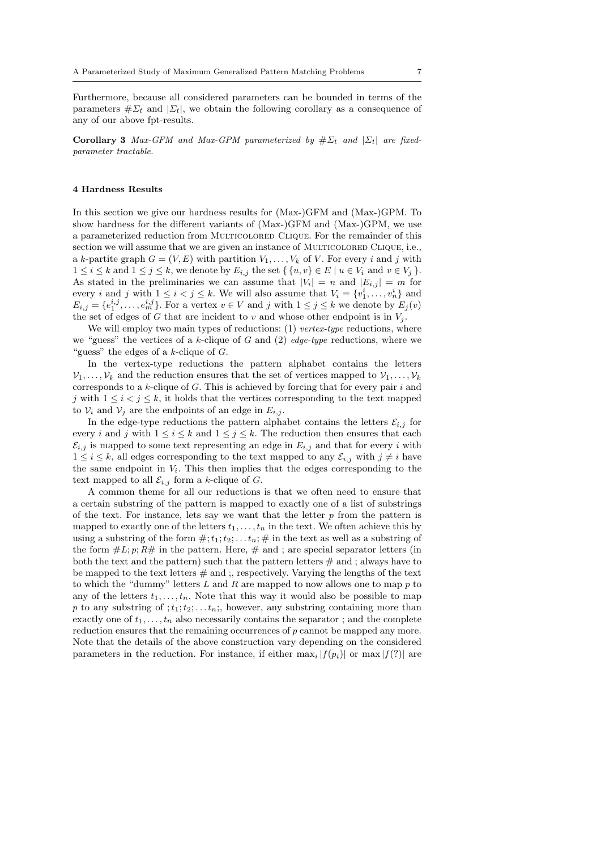Furthermore, because all considered parameters can be bounded in terms of the parameters  $\# \Sigma_t$  and  $|\Sigma_t|$ , we obtain the following corollary as a consequence of any of our above fpt-results.

Corollary 3 *Max-GFM and Max-GPM parameterized by*  $\# \Sigma_t$  *and*  $|\Sigma_t|$  *are fixedparameter tractable.*

#### 4 Hardness Results

In this section we give our hardness results for (Max-)GFM and (Max-)GPM. To show hardness for the different variants of (Max-)GFM and (Max-)GPM, we use a parameterized reduction from Multicolored Clique. For the remainder of this section we will assume that we are given an instance of MULTICOLORED CLIQUE, i.e., a k-partite graph  $G = (V, E)$  with partition  $V_1, \ldots, V_k$  of V. For every i and j with  $1 \leq i \leq k$  and  $1 \leq j \leq k$ , we denote by  $E_{i,j}$  the set  $\{ \{u, v\} \in E \mid u \in V_i \text{ and } v \in V_j \}.$ As stated in the preliminaries we can assume that  $|V_i| = n$  and  $|E_{i,j}| = m$  for every *i* and *j* with  $1 \leq i < j \leq k$ . We will also assume that  $V_i = \{v_1^i, \ldots, v_n^i\}$  and  $E_{i,j} = \{e_1^{i,j}, \ldots, e_m^{i,j}\}$ . For a vertex  $v \in V$  and j with  $1 \leq j \leq k$  we denote by  $E_j(v)$ the set of edges of G that are incident to v and whose other endpoint is in  $V_i$ .

We will employ two main types of reductions: (1) *vertex-type* reductions, where we "guess" the vertices of a k-clique of G and (2) *edge-type* reductions, where we "guess" the edges of a  $k$ -clique of  $G$ .

In the vertex-type reductions the pattern alphabet contains the letters  $\mathcal{V}_1, \ldots, \mathcal{V}_k$  and the reduction ensures that the set of vertices mapped to  $\mathcal{V}_1, \ldots, \mathcal{V}_k$ corresponds to a  $k$ -clique of  $G$ . This is achieved by forcing that for every pair  $i$  and j with  $1 \leq i < j \leq k$ , it holds that the vertices corresponding to the text mapped to  $V_i$  and  $V_j$  are the endpoints of an edge in  $E_{i,j}$ .

In the edge-type reductions the pattern alphabet contains the letters  $\mathcal{E}_{i,j}$  for every i and j with  $1 \le i \le k$  and  $1 \le j \le k$ . The reduction then ensures that each  $\mathcal{E}_{i,j}$  is mapped to some text representing an edge in  $E_{i,j}$  and that for every i with  $1 \leq i \leq k$ , all edges corresponding to the text mapped to any  $\mathcal{E}_{i,j}$  with  $j \neq i$  have the same endpoint in  $V_i$ . This then implies that the edges corresponding to the text mapped to all  $\mathcal{E}_{i,j}$  form a k-clique of G.

A common theme for all our reductions is that we often need to ensure that a certain substring of the pattern is mapped to exactly one of a list of substrings of the text. For instance, lets say we want that the letter  $p$  from the pattern is mapped to exactly one of the letters  $t_1, \ldots, t_n$  in the text. We often achieve this by using a substring of the form  $\#; t_1; t_2; \ldots t_n; \#$  in the text as well as a substring of the form  $\#L; p; R\#$  in the pattern. Here,  $\#$  and ; are special separator letters (in both the text and the pattern) such that the pattern letters  $#$  and; always have to be mapped to the text letters  $#$  and ;, respectively. Varying the lengths of the text to which the "dummy" letters  $L$  and  $R$  are mapped to now allows one to map  $p$  to any of the letters  $t_1, \ldots, t_n$ . Note that this way it would also be possible to map p to any substring of  $;t_1;t_2;...t_n;$ , however, any substring containing more than exactly one of  $t_1, \ldots, t_n$  also necessarily contains the separator; and the complete reduction ensures that the remaining occurrences of p cannot be mapped any more. Note that the details of the above construction vary depending on the considered parameters in the reduction. For instance, if either  $\max_i |f(p_i)|$  or  $\max |f(?)|$  are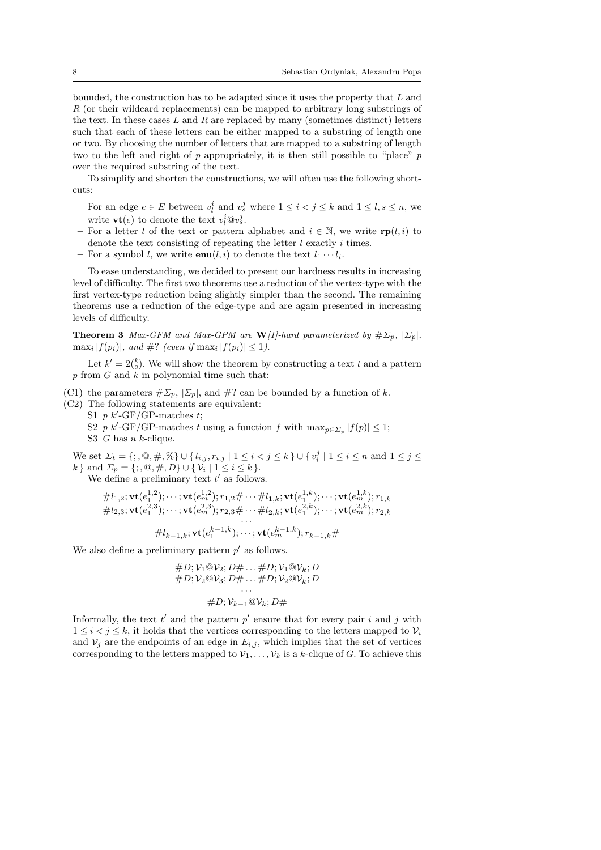bounded, the construction has to be adapted since it uses the property that L and R (or their wildcard replacements) can be mapped to arbitrary long substrings of the text. In these cases  $L$  and  $R$  are replaced by many (sometimes distinct) letters such that each of these letters can be either mapped to a substring of length one or two. By choosing the number of letters that are mapped to a substring of length two to the left and right of p appropriately, it is then still possible to "place" p over the required substring of the text.

To simplify and shorten the constructions, we will often use the following shortcuts:

- For an edge *e* ∈ *E* between  $v_i^i$  and  $v_s^j$  where  $1 \le i < j \le k$  and  $1 \le l$ , *s* ≤ *n*, we write  $\mathbf{vt}(e)$  to denote the text  $v_l^i@v_s^j$ .
- For a letter l of the text or pattern alphabet and  $i \in \mathbb{N}$ , we write  $\mathbf{rp}(l, i)$  to denote the text consisting of repeating the letter  $l$  exactly  $i$  times.
- For a symbol l, we write  $\text{enu}(l, i)$  to denote the text  $l_1 \cdots l_i$ .

To ease understanding, we decided to present our hardness results in increasing level of difficulty. The first two theorems use a reduction of the vertex-type with the first vertex-type reduction being slightly simpler than the second. The remaining theorems use a reduction of the edge-type and are again presented in increasing levels of difficulty.

**Theorem 3** *Max-GFM and Max-GPM are*  $W[1]$ -hard parameterized by  $\# \Sigma_p$ ,  $|\Sigma_p|$ ,  $\max_i |f(p_i)|$ *, and #? (even if*  $\max_i |f(p_i)| \leq 1$ *).* 

Let  $k' = 2\binom{k}{2}$ . We will show the theorem by constructing a text t and a pattern p from G and  $\overline{k}$  in polynomial time such that:

(C1) the parameters  $\# \Sigma_p$ ,  $[\Sigma_p]$ , and  $\#$ ? can be bounded by a function of k.

(C2) The following statements are equivalent: S1  $p k'\text{-GF/GP-matches } t;$ 

S2 p k'-GF/GP-matches t using a function f with  $\max_{p \in \Sigma_p} |f(p)| \leq 1$ ; S3 G has a k-clique.

We set  $\Sigma_t = \{;,\mathbf{0},\#, \mathcal{\%}\} \cup \{l_{i,j}, r_{i,j} \mid 1 \leq i < j \leq k\} \cup \{v^j_i \mid 1 \leq i \leq n \text{ and } 1 \leq j \leq k\}$ k } and  $\Sigma_p = \{ ;, \mathbb{Q}, \#, D \} \cup \{ \mathcal{V}_i \mid 1 \leq i \leq k \}.$ 

We define a preliminary text  $t'$  as follows.

$$
\#l_{1,2}; \mathbf{vt}(e_1^{1,2}); \cdots; \mathbf{vt}(e_m^{1,2}); r_{1,2} \# \cdots \# l_{1,k}; \mathbf{vt}(e_1^{1,k}); \cdots; \mathbf{vt}(e_m^{1,k}); r_{1,k} \n#l_{2,3}; \mathbf{vt}(e_1^{2,3}); \cdots; \mathbf{vt}(e_m^{2,3}); r_{2,3} \# \cdots \# l_{2,k}; \mathbf{vt}(e_1^{2,k}); \cdots; \mathbf{vt}(e_m^{2,k}); r_{2,k} \n\vdots \n\#l_{k-1,k}; \mathbf{vt}(e_1^{k-1,k}); \cdots; \mathbf{vt}(e_m^{k-1,k}); r_{k-1,k} \#
$$

We also define a preliminary pattern  $p'$  as follows.

$$
\#D; \mathcal{V}_1 @ \mathcal{V}_2; D \# \dots \# D; \mathcal{V}_1 @ \mathcal{V}_k; D \n\#D; \mathcal{V}_2 @ \mathcal{V}_3; D \# \dots \# D; \mathcal{V}_2 @ \mathcal{V}_k; D \n\vdots \n\#D; \mathcal{V}_{k-1} @ \mathcal{V}_k; D \#
$$

Informally, the text  $t'$  and the pattern  $p'$  ensure that for every pair i and j with  $1 \leq i < j \leq k$ , it holds that the vertices corresponding to the letters mapped to  $V_i$ and  $V_j$  are the endpoints of an edge in  $E_{i,j}$ , which implies that the set of vertices corresponding to the letters mapped to  $\mathcal{V}_1, \ldots, \mathcal{V}_k$  is a k-clique of G. To achieve this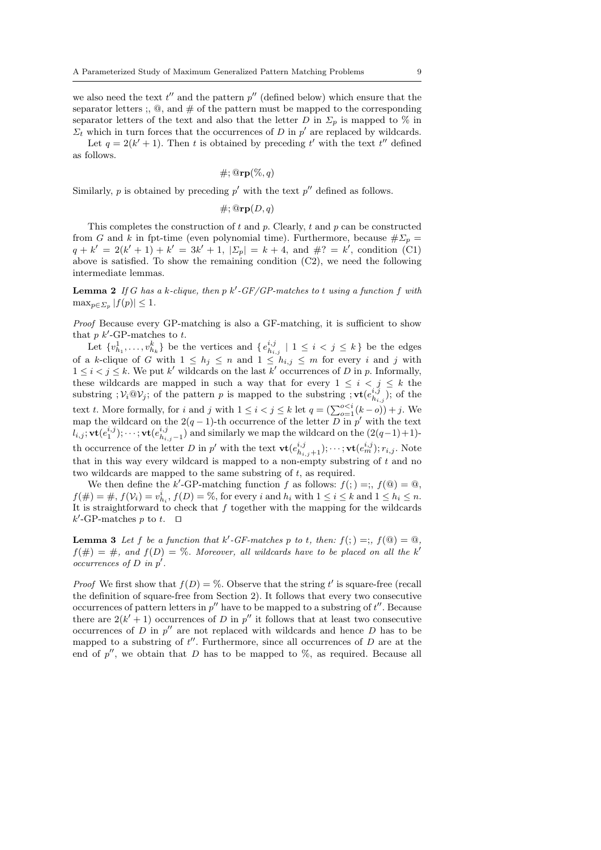we also need the text  $t''$  and the pattern  $p''$  (defined below) which ensure that the separator letters ;,  $\mathcal{Q}$ , and  $\#$  of the pattern must be mapped to the corresponding separator letters of the text and also that the letter D in  $\Sigma_p$  is mapped to % in  $\Sigma_t$  which in turn forces that the occurrences of D in  $p'$  are replaced by wildcards.

Let  $q = 2(k' + 1)$ . Then t is obtained by preceding t' with the text t'' defined as follows.

 $\#$ ;  $@{\mathbf{rp}}(\%, q)$ 

Similarly,  $p$  is obtained by preceding  $p'$  with the text  $p''$  defined as follows.

 $\#$ ;  $@{\mathbf{rp}}(D,q)$ 

This completes the construction of  $t$  and  $p$ . Clearly,  $t$  and  $p$  can be constructed from G and k in fpt-time (even polynomial time). Furthermore, because  $\#\Sigma_n =$  $q + k' = 2(k' + 1) + k' = 3k' + 1, |\Sigma_p| = k + 4$ , and  $\#$ ? = k', condition (C1) above is satisfied. To show the remaining condition (C2), we need the following intermediate lemmas.

Lemma 2 *If* G *has a* k*-clique, then* p k′ *-GF/GP-matches to* t *using a function* f *with*  $\max_{p\in\Sigma_p}|f(p)|\leq 1.$ 

*Proof* Because every GP-matching is also a GF-matching, it is sufficient to show that  $p \; k'$ -GP-matches to  $t$ .

Let  $\{v_{h_1}^1, \ldots, v_{h_k}^k\}$  be the vertices and  $\{e_{h_{i,j}}^{i,j} \mid 1 \leq i < j \leq k\}$  be the edges of a k-clique of G with  $1 \leq h_j \leq n$  and  $1 \leq h_{i,j} \leq m$  for every i and j with  $1 \leq i < j \leq k$ . We put k' wildcards on the last k' occurrences of D in p. Informally, these wildcards are mapped in such a way that for every  $1 \leq i \leq j \leq k$  the substring ;  $V_i @ V_j$ ; of the pattern p is mapped to the substring ;  $\mathbf{vt}(e_{h_{i,j}}^{i,j})$ ; of the text t. More formally, for i and j with  $1 \leq i < j \leq k$  let  $q = (\sum_{o=1}^{o \leq i} (k - o)) + j$ . We map the wildcard on the 2(q − 1)-th occurrence of the letter  $\overline{D}$  in p' with the text  $l_{i,j}; \textbf{vt}(e_1^{i,j}); \cdots; \textbf{vt}(e_{h_{i,j}-1}^{i,j})$  and similarly we map the wildcard on the  $(2(q-1)+1)$ th occurrence of the letter D in  $p'$  with the text  $\mathbf{vt}(e_{h_{i,j}+1}^{i,j}); \dots; \mathbf{vt}(e_{m}^{i,j}); r_{i,j}.$  Note that in this way every wildcard is mapped to a non-empty substring of  $t$  and no two wildcards are mapped to the same substring of t, as required.

We then define the k'-GP-matching function f as follows:  $f( ; ) = ;$ ,  $f(@) = @$ ,  $f(\#)=\#, f(\mathcal{V}_i)=v^i_{h_i}, f(D)=\%$ , for every i and  $h_i$  with  $1 \leq i \leq k$  and  $1 \leq h_i \leq n$ . It is straightforward to check that  $f$  together with the mapping for the wildcards  $k'$ -GP-matches p to t. □

**Lemma 3** Let f be a function that k'-GF-matches p to t, then:  $f($ ;  $) =$ ;  $f($   $) = \mathbb{Q}$ ,  $f(\#) = \#$ , and  $f(D) = \%$ . Moreover, all wildcards have to be placed on all the k' *occurrences of* D *in* p ′ *.*

*Proof* We first show that  $f(D) = \%$ . Observe that the string t' is square-free (recall the definition of square-free from Section 2). It follows that every two consecutive occurrences of pattern letters in  $p''$  have to be mapped to a substring of  $t''$ . Because there are  $2(k'+1)$  occurrences of D in p'' it follows that at least two consecutive occurrences of  $D$  in  $p''$  are not replaced with wildcards and hence  $D$  has to be mapped to a substring of  $t''$ . Furthermore, since all occurrences of  $D$  are at the end of  $p''$ , we obtain that D has to be mapped to  $\%$ , as required. Because all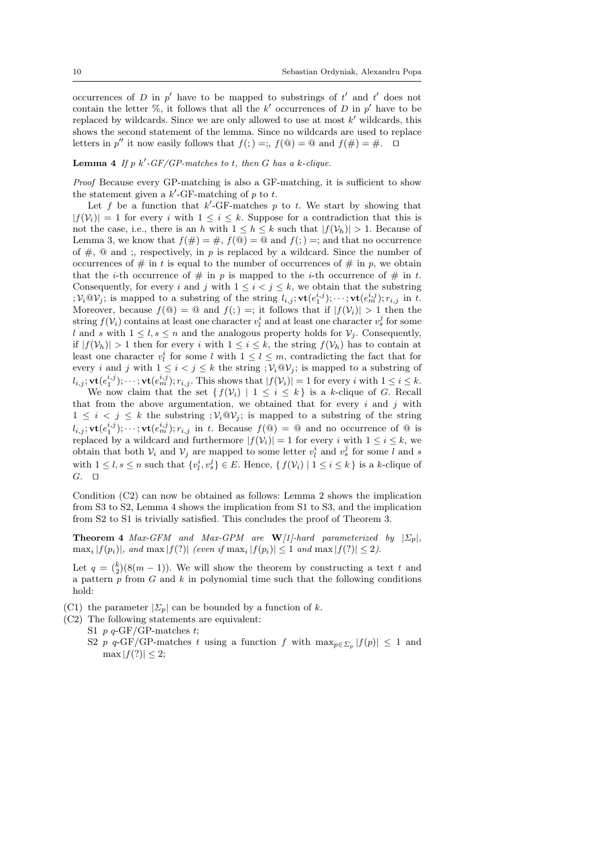occurrences of D in  $p'$  have to be mapped to substrings of  $t'$  and  $t'$  does not contain the letter  $\%$ , it follows that all the  $k'$  occurrences of D in  $p'$  have to be replaced by wildcards. Since we are only allowed to use at most  $k'$  wildcards, this shows the second statement of the lemma. Since no wildcards are used to replace letters in  $p''$  it now easily follows that  $f($ ;  $) =$ ;,  $f$ ( $\textcircled{a}$ ) =  $\textcircled{a}$  and  $f$ ( $\#$ ) =  $\#$ . □

### **Lemma 4** If  $p$   $k'$ -GF/GP-matches to t, then G has a k-clique.

*Proof* Because every GP-matching is also a GF-matching, it is sufficient to show the statement given a  $k'$ -GF-matching of p to t.

Let f be a function that  $k'$ -GF-matches p to t. We start by showing that  $|f(\mathcal{V}_i)| = 1$  for every i with  $1 \leq i \leq k$ . Suppose for a contradiction that this is not the case, i.e., there is an h with  $1 \leq h \leq k$  such that  $|f(\mathcal{V}_h)| > 1$ . Because of Lemma 3, we know that  $f(\#)=\#$ ,  $f(\mathbb{Q})=\mathbb{Q}$  and  $f($ ;  $)=$ ; and that no occurrence of  $\#$ ,  $\omega$  and ;, respectively, in p is replaced by a wildcard. Since the number of occurrences of  $\#$  in t is equal to the number of occurrences of  $\#$  in p, we obtain that the *i*-th occurrence of  $\#$  in p is mapped to the *i*-th occurrence of  $\#$  in t. Consequently, for every i and j with  $1 \leq i < j \leq k$ , we obtain that the substring  $; \mathcal{V}_i \mathbb{Q} \mathcal{V}_j$ ; is mapped to a substring of the string  $l_{i,j}$ ;  $\mathbf{vt}(e_1^{i,j})$ ;  $\cdots$ ;  $\mathbf{vt}(e_m^{i,j})$ ;  $r_{i,j}$  in t. Moreover, because  $f(\mathcal{Q}) = \mathcal{Q}$  and  $f($ ;  $) =$ ; it follows that if  $|f(\mathcal{V}_i)| > 1$  then the string  $f(\mathcal{V}_i)$  contains at least one character  $v_l^i$  and at least one character  $v_s^j$  for some l and s with  $1 \leq l, s \leq n$  and the analogous property holds for  $V_i$ . Consequently, if  $|f(\mathcal{V}_h)| > 1$  then for every i with  $1 \leq i \leq k$ , the string  $f(\mathcal{V}_h)$  has to contain at least one character  $v_l^i$  for some l with  $1 \leq l \leq m$ , contradicting the fact that for every i and j with  $1 \leq i < j \leq k$  the string  $; \mathcal{V}_i \mathbb{Q} \mathcal{V}_j$ ; is mapped to a substring of  $l_{i,j}$ ;  $\mathbf{vt}(e_1^{i,j})$ ;  $\cdots$ ;  $\mathbf{vt}(e_m^{i,j})$ ;  $r_{i,j}$ . This shows that  $|f(\mathcal{V}_i)| = 1$  for every i with  $1 \leq i \leq k$ .

We now claim that the set  $\{f(\mathcal{V}_i) \mid 1 \leq i \leq k\}$  is a k-clique of G. Recall that from the above argumentation, we obtained that for every  $i$  and  $j$  with  $1 \leq i \leq j \leq k$  the substring  $\mathcal{V}_i \mathbb{Q} \mathcal{V}_j$  is mapped to a substring of the string  $l_{i,j}$ ;  $\mathbf{vt}(e_1^{i,j})$ ;  $\cdots$ ;  $\mathbf{vt}(e_m^{i,j})$ ;  $r_{i,j}$  in t. Because  $f(\mathbf{Q}) = \mathbf{Q}$  and no occurrence of  $\mathbf{Q}$  is replaced by a wildcard and furthermore  $|f(V_i)| = 1$  for every i with  $1 \leq i \leq k$ , we obtain that both  $V_i$  and  $V_j$  are mapped to some letter  $v_l^i$  and  $v_s^j$  for some l and s with  $1 \leq l, s \leq n$  such that  $\{v_l^i, v_s^j\} \in E$ . Hence,  $\{f(v_i) \mid 1 \leq i \leq k\}$  is a k-clique of G. ⊓⊔

Condition (C2) can now be obtained as follows: Lemma 2 shows the implication from S3 to S2, Lemma 4 shows the implication from S1 to S3, and the implication from S2 to S1 is trivially satisfied. This concludes the proof of Theorem 3.

**Theorem 4** *Max-GFM and Max-GPM are*  $W/1$ *-hard parameterized by*  $|\Sigma_p|$ *,*  $\max_i |f(p_i)|$ , and  $\max|f(?)|$  *(even if*  $\max_i |f(p_i)| \leq 1$  *and*  $\max|f(?)| \leq 2$ *).* 

Let  $q = \binom{k}{2}(8(m-1))$ . We will show the theorem by constructing a text t and a pattern  $p$  from  $G$  and  $k$  in polynomial time such that the following conditions hold:

- (C1) the parameter  $|\mathcal{L}_p|$  can be bounded by a function of k.
- (C2) The following statements are equivalent:
	- S1  $p \frac{q}{\text{GF/GP-matches}} t$ ;
		- S2 p q-GF/GP-matches t using a function f with  $\max_{p \in \Sigma_p} |f(p)| \leq 1$  and  $\max |f(?)| \leq 2;$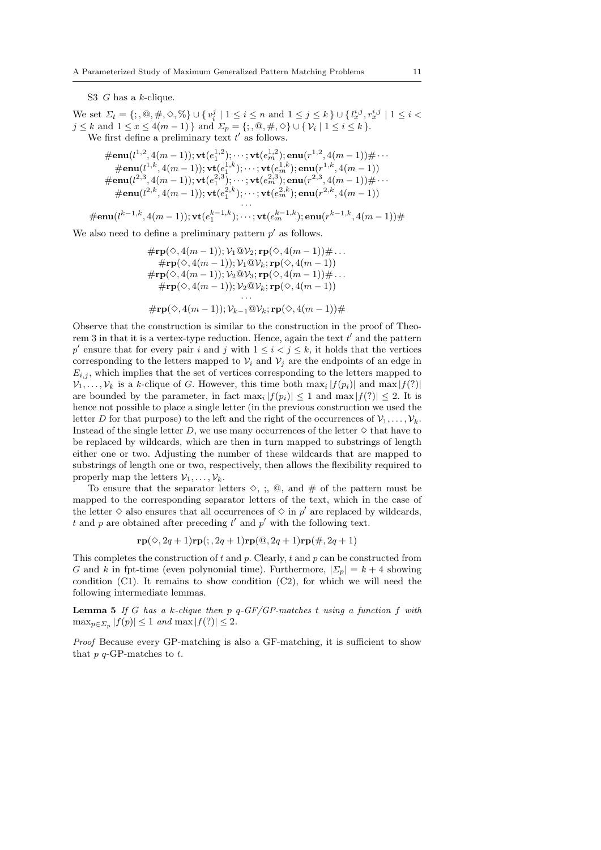S3 G has a k-clique.

We set  $\Sigma_t = \{; , \mathbf{0}, \#, \diamondsuit, \mathcal{N}\} \cup \{v_i^j \mid 1 \leq i \leq n \text{ and } 1 \leq j \leq k\} \cup \{l_x^{i,j}, r_x^{i,j} \mid 1 \leq i < j \leq k\}$  $j \leq k$  and  $1 \leq x \leq 4(m-1)$  } and  $\Sigma_p = \{ ;, \mathbb{Q}, \#, \Diamond \} \cup \{ \mathcal{V}_i \mid 1 \leq i \leq k \}.$ We first define a preliminary text  $t'$  as follows.

$$
\# \mathbf{enu}(l^{1,2}, 4(m-1)); \mathbf{vt}(e_1^{1,2}); \cdots; \mathbf{vt}(e_m^{1,2}); \mathbf{enu}(r^{1,2}, 4(m-1)) \# \cdots \n\# \mathbf{enu}(l^{1,k}, 4(m-1)); \mathbf{vt}(e_1^{1,k}); \cdots; \mathbf{vt}(e_m^{1,k}); \mathbf{enu}(r^{1,k}, 4(m-1)) \n\# \mathbf{enu}(l^{2,3}, 4(m-1)); \mathbf{vt}(e_1^{2,3}); \cdots; \mathbf{vt}(e_m^{2,3}); \mathbf{enu}(r^{2,3}, 4(m-1)) \# \cdots \n\# \mathbf{enu}(l^{2,k}, 4(m-1)); \mathbf{vt}(e_1^{2,k}); \cdots; \mathbf{vt}(e_m^{2,k}); \mathbf{enu}(r^{2,k}, 4(m-1)) \cdots
$$

$$
\#\mathbf{enu}(l^{k-1,k},4(m-1));\mathbf{vt}(e_1^{k-1,k});\cdots;\mathbf{vt}(e_m^{k-1,k});\mathbf{enu}(r^{k-1,k},4(m-1))\#
$$

We also need to define a preliminary pattern  $p'$  as follows.

$$
\begin{array}{l}\n\#\mathbf{rp}(\diamondsuit, 4(m-1)); \mathcal{V}_1 @ \mathcal{V}_2; \mathbf{rp}(\diamondsuit, 4(m-1)) \# \dots \\
\quad + \mathbf{rp}(\diamondsuit, 4(m-1)); \mathcal{V}_1 @ \mathcal{V}_k; \mathbf{rp}(\diamondsuit, 4(m-1)) \\
\quad + \mathbf{rp}(\diamondsuit, 4(m-1)); \mathcal{V}_2 @ \mathcal{V}_3; \mathbf{rp}(\diamondsuit, 4(m-1)) \# \dots \\
\quad + \mathbf{rp}(\diamondsuit, 4(m-1)); \mathcal{V}_2 @ \mathcal{V}_k; \mathbf{rp}(\diamondsuit, 4(m-1)) \\
\quad \dots \\
\quad + \mathbf{rp}(\diamondsuit, 4(m-1)); \mathcal{V}_{k-1} @ \mathcal{V}_k; \mathbf{rp}(\diamondsuit, 4(m-1)) \# \\
\end{array}
$$

Observe that the construction is similar to the construction in the proof of Theorem 3 in that it is a vertex-type reduction. Hence, again the text  $t'$  and the pattern  $p'$  ensure that for every pair i and j with  $1 \leq i < j \leq k$ , it holds that the vertices corresponding to the letters mapped to  $\mathcal{V}_i$  and  $\mathcal{V}_j$  are the endpoints of an edge in  $E_{i,j}$ , which implies that the set of vertices corresponding to the letters mapped to  $\mathcal{V}_1, \ldots, \mathcal{V}_k$  is a k-clique of G. However, this time both  $\max_i |f(p_i)|$  and  $\max |f(?)|$ are bounded by the parameter, in fact  $\max_i |f(p_i)| \leq 1$  and  $\max |f(?)| \leq 2$ . It is hence not possible to place a single letter (in the previous construction we used the letter D for that purpose) to the left and the right of the occurrences of  $\mathcal{V}_1, \ldots, \mathcal{V}_k$ . Instead of the single letter D, we use many occurrences of the letter  $\diamond$  that have to be replaced by wildcards, which are then in turn mapped to substrings of length either one or two. Adjusting the number of these wildcards that are mapped to substrings of length one or two, respectively, then allows the flexibility required to properly map the letters  $\mathcal{V}_1, \ldots, \mathcal{V}_k$ .

To ensure that the separator letters  $\diamond$ ,  $\vdots$ ,  $\circledcirc$ , and  $\#$  of the pattern must be mapped to the corresponding separator letters of the text, which in the case of the letter  $\diamond$  also ensures that all occurrences of  $\diamond$  in  $p'$  are replaced by wildcards, t and p are obtained after preceding  $t'$  and  $p'$  with the following text.

$$
\mathbf{rp}(\diamondsuit, 2q+1)\mathbf{rp}(; 2q+1)\mathbf{rp}(\mathbf{Q}, 2q+1)\mathbf{rp}(\#, 2q+1)
$$

This completes the construction of  $t$  and  $p$ . Clearly,  $t$  and  $p$  can be constructed from G and k in fpt-time (even polynomial time). Furthermore,  $|\Sigma_p| = k + 4$  showing condition  $(C1)$ . It remains to show condition  $(C2)$ , for which we will need the following intermediate lemmas.

Lemma 5 *If* G *has a* k*-clique then* p q*-GF/GP-matches* t *using a function* f *with*  $\max_{p \in \Sigma_p} |f(p)| \leq 1$  *and*  $\max |f(?)| \leq 2$ *.* 

*Proof* Because every GP-matching is also a GF-matching, it is sufficient to show that  $p$   $q$ -GP-matches to  $t$ .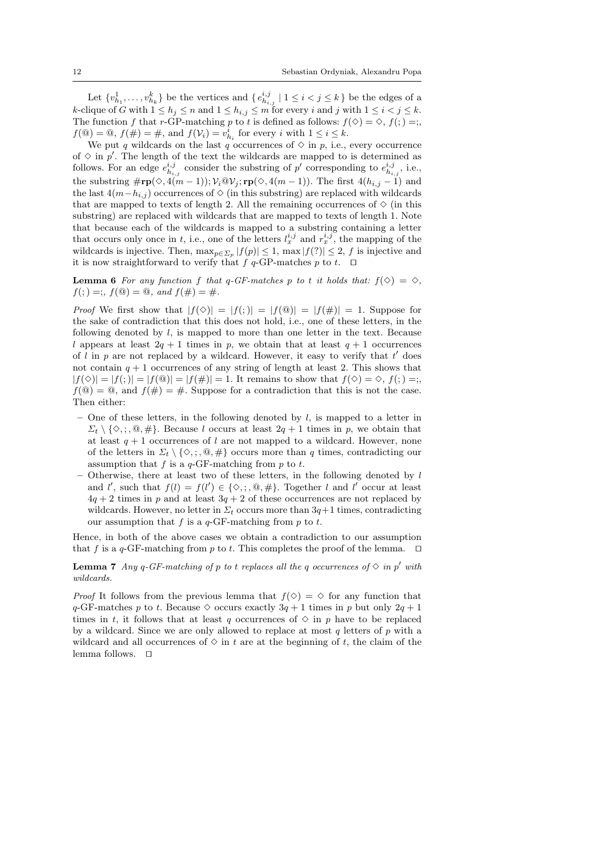Let  $\{v^1_{h_1}, \ldots, v^k_{h_k}\}$  be the vertices and  $\{e^{i,j}_{h_{i,j}} \mid 1 \leq i < j \leq k\}$  be the edges of a k-clique of G with  $1 \leq h_j \leq n$  and  $1 \leq h_{i,j} \leq m$  for every i and j with  $1 \leq i < j \leq k$ . The function f that r-GP-matching p to t is defined as follows:  $f(\Diamond) = \Diamond, f( ; ) = ;$  $f(\mathbf{\omega}) = \mathbf{\omega}, f(\#) = \#$ , and  $f(\mathcal{V}_i) = v^i_{h_i}$  for every *i* with  $1 \leq i \leq k$ .

We put q wildcards on the last q occurrences of  $\diamond$  in p, i.e., every occurrence of  $\diamond$  in  $p'$ . The length of the text the wildcards are mapped to is determined as follows. For an edge  $e_{h_{i,j}}^{i,j}$  consider the substring of p' corresponding to  $e_{h_{i,j}}^{i,j}$ , i.e., the substring  $\#\mathbf{rp}(\Diamond, 4(m-1)); \mathcal{V}_i \mathbb{Q} \mathcal{V}_j; \mathbf{rp}(\Diamond, 4(m-1)).$  The first  $4(h_{i,j}-1)$  and the last  $4(m-h_{i,j})$  occurrences of  $\diamond$  (in this substring) are replaced with wildcards that are mapped to texts of length 2. All the remaining occurrences of  $\Diamond$  (in this substring) are replaced with wildcards that are mapped to texts of length 1. Note that because each of the wildcards is mapped to a substring containing a letter that occurs only once in t, i.e., one of the letters  $l_x^{i,j}$  and  $r_x^{i,j}$ , the mapping of the wildcards is injective. Then,  $\max_{p \in \Sigma_p} |f(p)| \leq 1$ ,  $\max |f(?)| \leq 2$ , f is injective and it is now straightforward to verify that f q-GP-matches p to t.  $□$ 

**Lemma 6** For any function f that q-GF-matches p to t it holds that:  $f(\diamond) = \diamond$ ,  $f($ ;  $) =$ ;  $f($ **(** $\odot$ ) = **@**, and  $f($  $#$  $) =$   $#$ .

*Proof* We first show that  $|f(\diamond)| = |f(;)| = |f(\circledast)| = |f(\#)| = 1$ . Suppose for the sake of contradiction that this does not hold, i.e., one of these letters, in the following denoted by  $l$ , is mapped to more than one letter in the text. Because l appears at least  $2q + 1$  times in p, we obtain that at least  $q + 1$  occurrences of  $l$  in  $p$  are not replaced by a wildcard. However, it easy to verify that  $t'$  does not contain  $q + 1$  occurrences of any string of length at least 2. This shows that  $|f(\diamond)| = |f(\circ)| = |f(\circledast)| = |f(\#)| = 1$ . It remains to show that  $f(\diamond) = \diamond$ ,  $f(\circ) = \circ$ ,  $f(\mathbb{Q}) = \mathbb{Q}$ , and  $f(\#) = \#$ . Suppose for a contradiction that this is not the case. Then either:

- One of these letters, in the following denoted by  $l$ , is mapped to a letter in  $\Sigma_t \setminus \{\diamondsuit, \cdot, \cdot\mathbb{Q}, \#\}.$  Because l occurs at least  $2q+1$  times in p, we obtain that at least  $q + 1$  occurrences of l are not mapped to a wildcard. However, none of the letters in  $\Sigma_t \setminus \{ \diamondsuit, \phi, \# \}$  occurs more than q times, contradicting our assumption that  $f$  is a  $q$ -GF-matching from  $p$  to  $t$ .
- Otherwise, there at least two of these letters, in the following denoted by  $l$ and  $l'$ , such that  $f(l) = f(l') \in \{\diamondsuit, ; \emptyset, \# \}$ . Together l and l' occur at least  $4q + 2$  times in p and at least  $3q + 2$  of these occurrences are not replaced by wildcards. However, no letter in  $\Sigma_t$  occurs more than  $3q+1$  times, contradicting our assumption that f is a  $q$ -GF-matching from p to t.

Hence, in both of the above cases we obtain a contradiction to our assumption that f is a q-GF-matching from p to t. This completes the proof of the lemma. □

### **Lemma 7** *Any*  $q$ -*GF*-matching of  $p$  to t replaces all the  $q$  occurrences of  $\Diamond$  in  $p'$  with *wildcards.*

*Proof* It follows from the previous lemma that  $f(\Diamond) = \Diamond$  for any function that  $q$ -GF-matches p to t. Because  $\diamond$  occurs exactly  $3q+1$  times in p but only  $2q+1$ times in t, it follows that at least q occurrences of  $\Diamond$  in p have to be replaced by a wildcard. Since we are only allowed to replace at most  $q$  letters of p with a wildcard and all occurrences of  $\Diamond$  in t are at the beginning of t, the claim of the lemma follows. ⊓⊔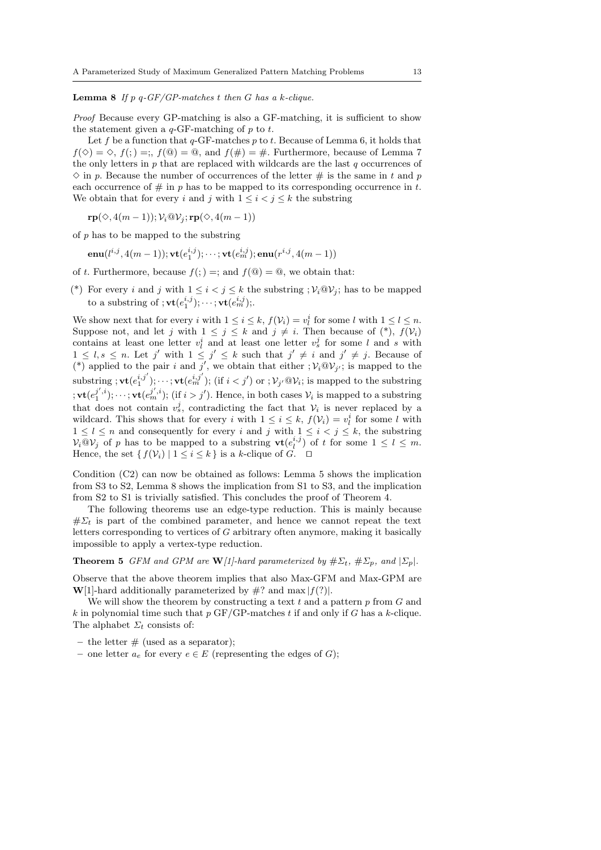Lemma 8 *If* p q*-GF/GP-matches* t *then* G *has a* k*-clique.*

*Proof* Because every GP-matching is also a GF-matching, it is sufficient to show the statement given a  $q$ -GF-matching of p to t.

Let f be a function that  $q$ -GF-matches p to t. Because of Lemma 6, it holds that  $f(\diamond) = \diamond, f( ; ) = ;$ ,  $f(\circledcirc) = \circledcirc,$  and  $f(\#) = \#$ . Furthermore, because of Lemma 7 the only letters in  $p$  that are replaced with wildcards are the last  $q$  occurrences of  $\Diamond$  in p. Because the number of occurrences of the letter  $\#$  is the same in t and p each occurrence of  $\#$  in p has to be mapped to its corresponding occurrence in t. We obtain that for every i and j with  $1 \leq i \leq j \leq k$  the substring

 $\mathbf{rp}(\Diamond, 4(m-1)); \mathcal{V}_i @ \mathcal{V}_i; \mathbf{rp}(\Diamond, 4(m-1))$ 

of  $p$  has to be mapped to the substring

 $\mathbf{enu}(l^{i,j},4(m-1)); \mathbf{vt}(e_1^{i,j}); \cdots; \mathbf{vt}(e_m^{i,j}); \mathbf{enu}(r^{i,j},4(m-1))$ 

of t. Furthermore, because  $f(z) =$ ; and  $f(\mathcal{Q}) = \mathcal{Q}$ , we obtain that:

(\*) For every i and j with  $1 \leq i < j \leq k$  the substring  $; \mathcal{V}_i @ \mathcal{V}_j$ ; has to be mapped to a substring of  $;\mathbf{vt}(e_1^{i,j});\cdots;\mathbf{vt}(e_m^{i,j});$ 

We show next that for every *i* with  $1 \leq i \leq k$ ,  $f(\mathcal{V}_i) = v_i^i$  for some *l* with  $1 \leq l \leq n$ . Suppose not, and let j with  $1 \leq j \leq k$  and  $j \neq i$ . Then because of  $(*)$ ,  $f(V_i)$ contains at least one letter  $v_l^i$  and at least one letter  $v_s^j$  for some l and s with  $1 \leq l, s \leq n$ . Let j' with  $1 \leq j' \leq k$  such that  $j' \neq i$  and  $j' \neq j$ . Because of (\*) applied to the pair i and j', we obtain that either  $; \mathcal{V}_i @ \mathcal{V}_{j'};$  is mapped to the substring ; vt(e i,j′ 1 ); · · · ; vt(e i,j′ <sup>m</sup> ); (if i < j′ ) or ; V<sup>j</sup> ′@V<sup>i</sup> ; is mapped to the substring  $\mathbf{v} \cdot \mathbf{v} \cdot \mathbf{t} = \left( e^{j',i}_1 \right), \dots, \mathbf{v} \cdot \mathbf{t} \left( e^{j',i}_m \right), \text{ (if } i > j').$  Hence, in both cases  $\mathcal{V}_i$  is mapped to a substring that does not contain  $v_s^j$ , contradicting the fact that  $V_i$  is never replaced by a wildcard. This shows that for every *i* with  $1 \leq i \leq k$ ,  $f(\mathcal{V}_i) = v_i^i$  for some *l* with  $1 \leq l \leq n$  and consequently for every i and j with  $1 \leq i < j \leq k$ , the substring  $V_i@V_j$  of p has to be mapped to a substring  $\mathbf{vt}(e_i^{i,j})$  of t for some  $1 \leq l \leq m$ . Hence, the set  $\{f(\mathcal{V}_i) \mid 1 \leq i \leq k\}$  is a k-clique of G.  $\Box$ 

Condition (C2) can now be obtained as follows: Lemma 5 shows the implication from S3 to S2, Lemma 8 shows the implication from S1 to S3, and the implication from S2 to S1 is trivially satisfied. This concludes the proof of Theorem 4.

The following theorems use an edge-type reduction. This is mainly because  $\# \Sigma_t$  is part of the combined parameter, and hence we cannot repeat the text letters corresponding to vertices of G arbitrary often anymore, making it basically impossible to apply a vertex-type reduction.

**Theorem 5** *GFM and GPM are*  $W[1]$ -hard parameterized by  $\# \Sigma_t$ ,  $\# \Sigma_p$ , and  $|\Sigma_p|$ .

Observe that the above theorem implies that also Max-GFM and Max-GPM are W[1]-hard additionally parameterized by  $\#$ ? and max  $|f(?)|$ .

We will show the theorem by constructing a text  $t$  and a pattern  $p$  from  $G$  and k in polynomial time such that  $p$  GF/GP-matches t if and only if G has a k-clique. The alphabet  $\Sigma_t$  consists of:

– the letter  $#$  (used as a separator);

– one letter  $a_e$  for every  $e \in E$  (representing the edges of G);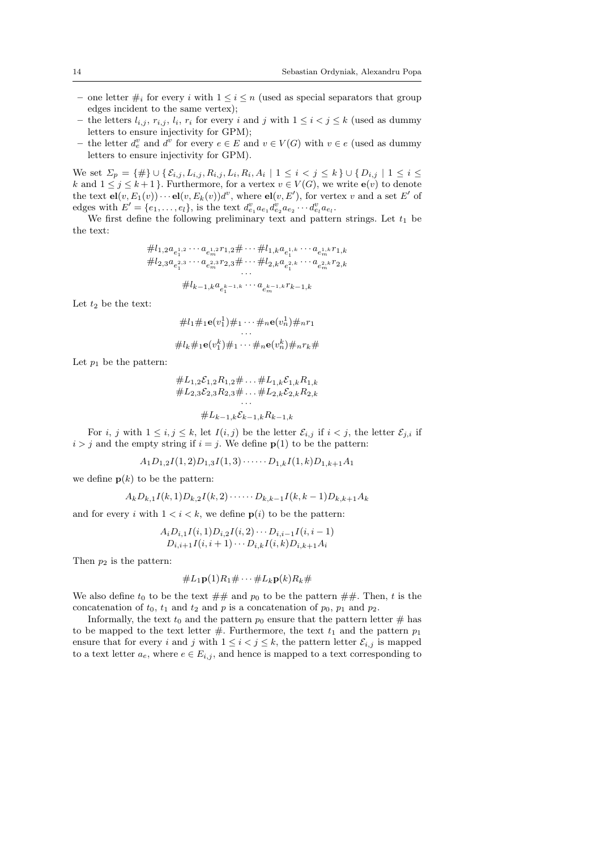- one letter  $\#_i$  for every  $i$  with  $1 \leq i \leq n$  (used as special separators that group edges incident to the same vertex);
- the letters  $l_{i,j}$ ,  $r_{i,j}$ ,  $l_i$ ,  $r_i$  for every i and j with  $1 \leq i < j \leq k$  (used as dummy letters to ensure injectivity for GPM);
- the letter  $d_e^v$  and  $d^v$  for every  $e \in E$  and  $v \in V(G)$  with  $v \in e$  (used as dummy letters to ensure injectivity for GPM).

We set  $\Sigma_p = \{\#\} \cup \{\mathcal{E}_{i,j}, L_{i,j}, R_{i,j}, L_i, R_i, A_i \mid 1 \leq i \leq j \leq k\} \cup \{D_{i,j} \mid 1 \leq i \leq k\}$ k and  $1 \leq j \leq k+1$ . Furthermore, for a vertex  $v \in V(G)$ , we write  $e(v)$  to denote the text  $el(v, E_1(v)) \cdots el(v, E_k(v))d^v$ , where  $el(v, E')$ , for vertex v and a set E' of edges with  $E' = \{e_1, \ldots, e_l\}$ , is the text  $d_{e_1}^v a_{e_1} d_{e_2}^v a_{e_2} \cdots d_{e_l}^v a_{e_l}$ .

We first define the following preliminary text and pattern strings. Let  $t_1$  be the text:

$$
\#l_{1,2}a_{e_1^{1,2}}\cdots a_{e_m^{1,2}}r_{1,2}\# \cdots \# l_{1,k}a_{e_1^{1,k}}\cdots a_{e_m^{1,k}}r_{1,k}
$$
  

$$
\#l_{2,3}a_{e_1^{2,3}}\cdots a_{e_m^{2,3}}r_{2,3}\# \cdots \# l_{2,k}a_{e_1^{2,k}}\cdots a_{e_m^{2,k}}r_{2,k}
$$
  

$$
\cdots
$$
  

$$
\#l_{k-1,k}a_{e_1^{k-1,k}}\cdots a_{e_m^{k-1,k}}r_{k-1,k}
$$

Let  $t_2$  be the text:

$$
\#l_1\#_1\mathbf{e}(v_1^1)\#_1\cdots\#_n\mathbf{e}(v_n^1)\#_n r_1
$$
  

$$
\vdots
$$
  

$$
\#l_k\#_1\mathbf{e}(v_1^k)\#_1\cdots\#_n\mathbf{e}(v_n^k)\#_n r_k\#_n
$$

Let  $p_1$  be the pattern:

$$
\#L_{1,2}\mathcal{E}_{1,2}R_{1,2} \# \dots \#L_{1,k}\mathcal{E}_{1,k}R_{1,k}
$$
  

$$
\#L_{2,3}\mathcal{E}_{2,3}R_{2,3} \# \dots \#L_{2,k}\mathcal{E}_{2,k}R_{2,k}
$$
  

$$
\dots
$$
  

$$
\#L_{k-1,k}\mathcal{E}_{k-1,k}R_{k-1,k}
$$

For i, j with  $1 \leq i, j \leq k$ , let  $I(i, j)$  be the letter  $\mathcal{E}_{i,j}$  if  $i < j$ , the letter  $\mathcal{E}_{j,i}$  if  $i > j$  and the empty string if  $i = j$ . We define  $p(1)$  to be the pattern:

$$
A_1D_{1,2}I(1,2)D_{1,3}I(1,3)\cdots D_{1,k}I(1,k)D_{1,k+1}A_1
$$

we define  $p(k)$  to be the pattern:

$$
A_k D_{k,1} I(k,1) D_{k,2} I(k,2) \cdots \cdots D_{k,k-1} I(k,k-1) D_{k,k+1} A_k
$$

and for every i with  $1 \lt i \lt k$ , we define  $p(i)$  to be the pattern:

$$
A_i D_{i,1} I(i,1) D_{i,2} I(i,2) \cdots D_{i,i-1} I(i,i-1) D_{i,i+1} I(i,i+1) \cdots D_{i,k} I(i,k) D_{i,k+1} A_i
$$

Then  $p_2$  is the pattern:

$$
\#L_1\mathbf{p}(1)R_1\#\cdots\#L_k\mathbf{p}(k)R_k\#
$$

We also define  $t_0$  to be the text  $\#\#$  and  $p_0$  to be the pattern  $\#\#$ . Then, t is the concatenation of  $t_0$ ,  $t_1$  and  $t_2$  and p is a concatenation of  $p_0$ ,  $p_1$  and  $p_2$ .

Informally, the text  $t_0$  and the pattern  $p_0$  ensure that the pattern letter  $\#$  has to be mapped to the text letter  $\#$ . Furthermore, the text  $t_1$  and the pattern  $p_1$ ensure that for every i and j with  $1 \leq i < j \leq k$ , the pattern letter  $\mathcal{E}_{i,j}$  is mapped to a text letter  $a_e$ , where  $e \in E_{i,j}$ , and hence is mapped to a text corresponding to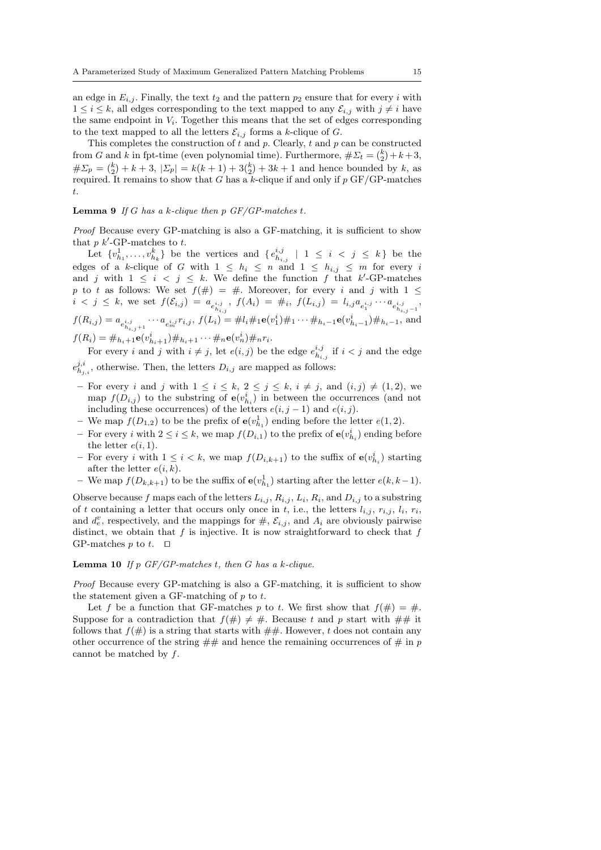an edge in  $E_{i,j}$ . Finally, the text  $t_2$  and the pattern  $p_2$  ensure that for every i with  $1 \leq i \leq k$ , all edges corresponding to the text mapped to any  $\mathcal{E}_{i,j}$  with  $j \neq i$  have the same endpoint in  $V_i$ . Together this means that the set of edges corresponding to the text mapped to all the letters  $\mathcal{E}_{i,j}$  forms a k-clique of G.

This completes the construction of  $t$  and  $p$ . Clearly,  $t$  and  $p$  can be constructed from G and k in fpt-time (even polynomial time). Furthermore,  $\# \Sigma_t = \binom{k}{2} + k + 3$ ,  $\# \Sigma_p = \binom{k}{2} + k + 3$ ,  $|\Sigma_p| = k(k+1) + 3\binom{k}{2} + 3k + 1$  and hence bounded by k, as required. It remains to show that G has a k-clique if and only if  $p$  GF/GP-matches t.

### Lemma 9 *If* G *has a* k*-clique then* p *GF/GP-matches* t*.*

*Proof* Because every GP-matching is also a GF-matching, it is sufficient to show that  $p \; k'$ -GP-matches to  $t$ .

Let  $\{v^1_{h_1},\ldots,v^k_{h_k}\}\$  be the vertices and  $\{e^{i,j}_{h_{i,j}}\mid 1 \leq i \leq j \leq k\}$  be the edges of a k-clique of G with  $1 \leq h_i \leq n$  and  $1 \leq h_{i,j} \leq m$  for every i and j with  $1 \leq i \leq j \leq k$ . We define the function f that k'-GP-matches p to t as follows: We set  $f(\#) = \#$ . Moreover, for every i and j with  $1 \le$  $i \leq j \leq k$ , we set  $f(\mathcal{E}_{i,j}) = a_{e_{h_{i,j}}^{i,j}}, \ f(A_i) = \#_i, \ f(L_{i,j}) = l_{i,j}a_{e_1^{i,j}}\cdots a_{e_{h_{i,j}-1}^{i,j}},$  $f(R_{i,j}) = a_{e_{h_{i,j}+1}^{i,j}} \cdots a_{e_m^{i,j}} r_{i,j}, f(L_i) = \# l_i \#_1 \mathbf{e}(v_1^i) \#_1 \cdots \#_{h_i-1} \mathbf{e}(v_{h_i-1}^i) \#_{h_i-1}$ , and  $f(R_i) = #_{h_i+1}\mathbf{e}(v_{h_i+1}^i) \#_{h_i+1} \cdots #_{n}\mathbf{e}(v_n^i) \#_{n}r_i.$ 

For every *i* and *j* with  $i \neq j$ , let  $e(i, j)$  be the edge  $e_{h_{i,j}}^{i,j}$  if  $i < j$  and the edge  $e_{h_{j,i}}^{j,i}$ , otherwise. Then, the letters  $D_{i,j}$  are mapped as follows:

- For every i and j with  $1 \leq i \leq k$ ,  $2 \leq j \leq k$ ,  $i \neq j$ , and  $(i, j) \neq (1, 2)$ , we map  $f(D_{i,j})$  to the substring of  $\mathbf{e}(v_{h_i}^i)$  in between the occurrences (and not including these occurrences) of the letters  $e(i, j - 1)$  and  $e(i, j)$ .
- We map  $f(D_{1,2})$  to be the prefix of  $e(v_{h_1}^1)$  ending before the letter  $e(1,2)$ .
- For every *i* with  $2 \le i \le k$ , we map  $f(D_{i,1})$  to the prefix of  $e(v_{h_i}^i)$  ending before the letter  $e(i, 1)$ .
- For every *i* with  $1 \leq i < k$ , we map  $f(D_{i,k+1})$  to the suffix of  $e(v_{h_i}^i)$  starting after the letter  $e(i, k)$ .
- − We map  $f(D_{k,k+1})$  to be the suffix of  $e(v_{h_1}^1)$  starting after the letter  $e(k, k-1)$ .

Observe because f maps each of the letters  $L_{i,j}$ ,  $R_{i,j}$ ,  $L_i$ ,  $R_i$ , and  $D_{i,j}$  to a substring of t containing a letter that occurs only once in t, i.e., the letters  $l_{i,j}, r_{i,j}, l_i, r_i$ , and  $d_e^v$ , respectively, and the mappings for  $\#$ ,  $\mathcal{E}_{i,j}$ , and  $A_i$  are obviously pairwise distinct, we obtain that f is injective. It is now straightforward to check that f GP-matches p to t.  $□$ 

#### Lemma 10 *If* p *GF/GP-matches* t*, then* G *has a* k*-clique.*

*Proof* Because every GP-matching is also a GF-matching, it is sufficient to show the statement given a GF-matching of  $p$  to  $t$ .

Let f be a function that GF-matches p to t. We first show that  $f(\#)=\#$ . Suppose for a contradiction that  $f(\#) \neq \#$ . Because t and p start with  $\# \#$  it follows that  $f(\#)$  is a string that starts with  $\#$ . However, t does not contain any other occurrence of the string  $\#\#$  and hence the remaining occurrences of  $\#$  in p cannot be matched by  $f$ .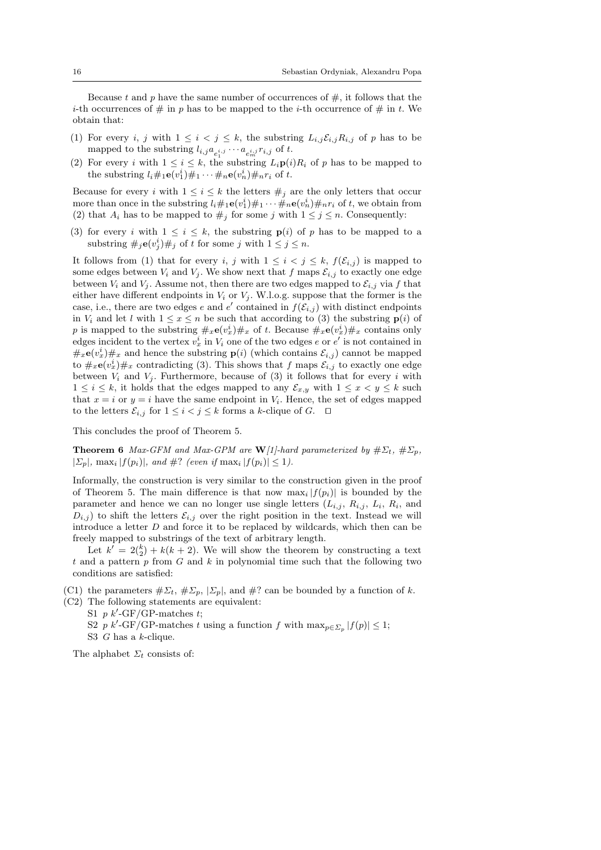Because t and p have the same number of occurrences of  $\#$ , it follows that the *i*-th occurrences of  $\#$  in p has to be mapped to the *i*-th occurrence of  $\#$  in t. We obtain that:

- (1) For every i, j with  $1 \leq i < j \leq k$ , the substring  $L_{i,j} \mathcal{E}_{i,j} R_{i,j}$  of p has to be mapped to the substring  $l_{i,j}a_{e_1^{i,j}}\cdots a_{e_m^{i,j}}r_{i,j}$  of t.
- (2) For every i with  $1 \leq i \leq k$ , the substring  $L_i \mathbf{p}(i)R_i$  of p has to be mapped to the substring  $l_i \#_1 \mathbf{e}(v_1^i) \#_1 \cdots \#_n \mathbf{e}(v_n^i) \#_n r_i$  of t.

Because for every i with  $1 \leq i \leq k$  the letters  $\#_i$  are the only letters that occur more than once in the substring  $l_i \#_1 \mathbf{e}(v_1^i) \#_1 \cdots \#_n \mathbf{e}(v_n^i) \#_n r_i$  of t, we obtain from (2) that  $A_i$  has to be mapped to  $\#_i$  for some j with  $1 \leq j \leq n$ . Consequently:

(3) for every i with  $1 \leq i \leq k$ , the substring  $p(i)$  of p has to be mapped to a substring  $\#_j \mathbf{e}(v_j^i) \#_j$  of t for some j with  $1 \le j \le n$ .

It follows from (1) that for every i, j with  $1 \leq i \leq j \leq k$ ,  $f(\mathcal{E}_{i,j})$  is mapped to some edges between  $V_i$  and  $V_j$ . We show next that f maps  $\mathcal{E}_{i,j}$  to exactly one edge between  $V_i$  and  $V_j$ . Assume not, then there are two edges mapped to  $\mathcal{E}_{i,j}$  via f that either have different endpoints in  $V_i$  or  $V_j$ . W.l.o.g. suppose that the former is the case, i.e., there are two edges e and  $e'$  contained in  $f(\mathcal{E}_{i,j})$  with distinct endpoints in  $V_i$  and let l with  $1 \leq x \leq n$  be such that according to (3) the substring  $p(i)$  of p is mapped to the substring  $\#_x \mathbf{e}(v_x^i) \#_x$  of t. Because  $\#_x \mathbf{e}(v_x^i) \#_x$  contains only edges incident to the vertex  $v_x^i$  in  $V_i$  one of the two edges e or e' is not contained in  $\#_x \mathbf{e}(v_x^i) \#_x$  and hence the substring  $\mathbf{p}(i)$  (which contains  $\mathcal{E}_{i,j}$ ) cannot be mapped to  $\#_x \mathbf{e}(v_x^i) \#_x$  contradicting (3). This shows that f maps  $\mathcal{E}_{i,j}$  to exactly one edge between  $V_i$  and  $V_j$ . Furthermore, because of (3) it follows that for every i with  $1 \leq i \leq k$ , it holds that the edges mapped to any  $\mathcal{E}_{x,y}$  with  $1 \leq x < y \leq k$  such that  $x = i$  or  $y = i$  have the same endpoint in  $V_i$ . Hence, the set of edges mapped to the letters  $\mathcal{E}_{i,j}$  for  $1 \leq i < j \leq k$  forms a k-clique of G.  $\Box$ 

This concludes the proof of Theorem 5.

**Theorem 6** *Max-GFM and Max-GPM are*  $W/1$ *-hard parameterized by*  $\# \Sigma_t$ ,  $\# \Sigma_p$ *,*  $|\Sigma_p|$ ,  $\max_i |f(p_i)|$ , and  $\#$ ? *(even if*  $\max_i |f(p_i)| \leq 1$ ).

Informally, the construction is very similar to the construction given in the proof of Theorem 5. The main difference is that now  $\max_i |f(p_i)|$  is bounded by the parameter and hence we can no longer use single letters  $(L_{i,j}, R_{i,j}, L_i, R_i)$ , and  $D_{i,j}$ ) to shift the letters  $\mathcal{E}_{i,j}$  over the right position in the text. Instead we will introduce a letter D and force it to be replaced by wildcards, which then can be freely mapped to substrings of the text of arbitrary length.

Let  $k' = 2\binom{k}{2} + k(k+2)$ . We will show the theorem by constructing a text t and a pattern  $p$  from  $G$  and  $k$  in polynomial time such that the following two conditions are satisfied:

(C1) the parameters  $\#\Sigma_t, \#\Sigma_p, |\Sigma_p|$ , and  $\#\}$ ? can be bounded by a function of k. (C2) The following statements are equivalent:

S1  $p k'$ -GF/GP-matches t; S2 p k'-GF/GP-matches t using a function f with  $\max_{p \in \Sigma_p} |f(p)| \leq 1$ ; S3  $G$  has a  $k$ -clique.

The alphabet  $\Sigma_t$  consists of: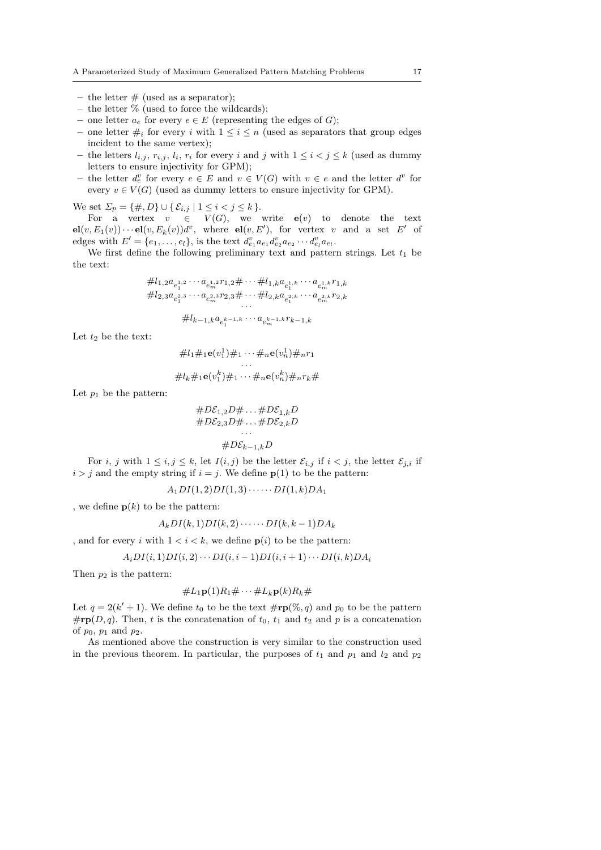- the letter  $#$  (used as a separator);
- the letter  $\%$  (used to force the wildcards);
- one letter  $a_e$  for every  $e \in E$  (representing the edges of G);
- one letter  $\#_i$  for every i with  $1 \leq i \leq n$  (used as separators that group edges incident to the same vertex);
- the letters  $l_{i,j}$ ,  $r_{i,j}$ ,  $l_i$ ,  $r_i$  for every i and j with  $1 \leq i < j \leq k$  (used as dummy letters to ensure injectivity for GPM);
- the letter  $d_e^v$  for every  $e \in E$  and  $v \in V(G)$  with  $v \in e$  and the letter  $d^v$  for every  $v \in V(G)$  (used as dummy letters to ensure injectivity for GPM).

We set  $\Sigma_p = \{\#, D\} \cup \{\mathcal{E}_{i,j} \mid 1 \leq i < j \leq k\}.$ 

For a vertex  $v \in V(G)$ , we write  $e(v)$  to denote the text  $el(v, E_1(v)) \cdots el(v, E_k(v))d^v$ , where  $el(v, E')$ , for vertex v and a set E' of edges with  $E' = \{e_1, \ldots, e_l\}$ , is the text  $d_{e_1}^v a_{e_1} d_{e_2}^v a_{e_2} \cdots d_{e_l}^v a_{e_l}$ .

We first define the following preliminary text and pattern strings. Let  $t_1$  be the text:

$$
\#l_{1,2}a_{e_1^{1,2}}\cdots a_{e_m^{1,2}r_{1,2}}\# \cdots \# l_{1,k}a_{e_1^{1,k}}\cdots a_{e_m^{1,k}r_{1,k}}\n\#l_{2,3}a_{e_1^{2,3}}\cdots a_{e_m^{2,3}r_{2,3}}\# \cdots \# l_{2,k}a_{e_1^{2,k}}\cdots a_{e_m^{2,k}r_{2,k}}\cdots\n\#l_{k-1,k}a_{e_1^{k-1,k}}\cdots a_{e_m^{k-1,k}r_{k-1,k}}
$$

Let  $t_2$  be the text:

$$
\#l_1\#_1\mathbf{e}(v_1^1)\#_1\cdots\#_n\mathbf{e}(v_n^1)\#_n r_1
$$
  
...  

$$
\#l_k\#_1\mathbf{e}(v_1^k)\#_1\cdots\#_n\mathbf{e}(v_n^k)\#_n r_k\#_n
$$

Let  $p_1$  be the pattern:

$$
\begin{aligned}\n&\#D\mathcal{E}_{1,2}D\#\dots\#D\mathcal{E}_{1,k}D\\
&\#D\mathcal{E}_{2,3}D\#\dots\#D\mathcal{E}_{2,k}D\\
&\dots\\
&\#D\mathcal{E}_{k-1,k}D\n\end{aligned}
$$

For i, j with  $1 \le i, j \le k$ , let  $I(i, j)$  be the letter  $\mathcal{E}_{i,j}$  if  $i < j$ , the letter  $\mathcal{E}_{j,i}$  if  $i > j$  and the empty string if  $i = j$ . We define  $p(1)$  to be the pattern:

$$
A_1DI(1,2)DI(1,3)\cdot\cdots\cdot DI(1,k)DA_1
$$

, we define  $p(k)$  to be the pattern:

$$
A_kDI(k,1)DI(k,2)\cdot\cdots\cdot DI(k,k-1)DA_k
$$

, and for every i with  $1 < i < k$ , we define  $p(i)$  to be the pattern:

$$
A_iDI(i,1)DI(i,2)\cdots DI(i,i-1)DI(i,i+1)\cdots DI(i,k)DA_i
$$

Then  $p_2$  is the pattern:

$$
\#L_1\mathbf{p}(1)R_1\#\cdots\#L_k\mathbf{p}(k)R_k\#
$$

Let  $q = 2(k'+1)$ . We define  $t_0$  to be the text  $\#\mathbf{rp}(\%, q)$  and  $p_0$  to be the pattern  $\# \mathbf{rp}(D, q)$ . Then, t is the concatenation of  $t_0$ ,  $t_1$  and  $t_2$  and p is a concatenation of  $p_0$ ,  $p_1$  and  $p_2$ .

As mentioned above the construction is very similar to the construction used in the previous theorem. In particular, the purposes of  $t_1$  and  $p_1$  and  $t_2$  and  $p_2$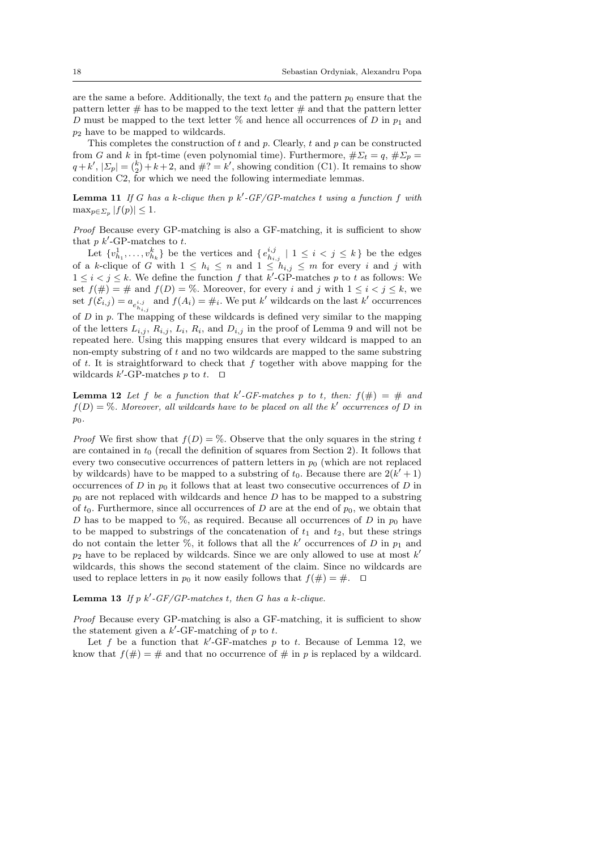are the same a before. Additionally, the text  $t_0$  and the pattern  $p_0$  ensure that the pattern letter  $\#$  has to be mapped to the text letter  $\#$  and that the pattern letter D must be mapped to the text letter  $\%$  and hence all occurrences of D in  $p_1$  and  $p_2$  have to be mapped to wildcards.

This completes the construction of  $t$  and  $p$ . Clearly,  $t$  and  $p$  can be constructed from G and k in fpt-time (even polynomial time). Furthermore,  $\#\Sigma_t = q$ ,  $\#\Sigma_p =$  $q + k'$ ,  $|\Sigma_p| = \binom{k}{2} + k + 2$ , and  $\#? = k'$ , showing condition (C1). It remains to show condition C2, for which we need the following intermediate lemmas.

Lemma 11 *If* G *has a* k*-clique then* p k′ *-GF/GP-matches* t *using a function* f *with*  $\max_{p \in \Sigma_p} |f(p)| \leq 1.$ 

*Proof* Because every GP-matching is also a GF-matching, it is sufficient to show that  $p \; k'$ -GP-matches to  $t$ .

Let  $\{v_{h_1}^1, \ldots, v_{h_k}^k\}$  be the vertices and  $\{e_{h_{i,j}}^{i,j} \mid 1 \leq i < j \leq k\}$  be the edges of a k-clique of G with  $1 \leq h_i \leq n$  and  $1 \leq h_{i,j} \leq m$  for every i and j with  $1 \leq i < j \leq k$ . We define the function f that k'-GP-matches p to t as follows: We set  $f(\#) = \#$  and  $f(D) = \%$ . Moreover, for every i and j with  $1 \leq i < j \leq k$ , we set  $f(\mathcal{E}_{i,j}) = a_{e_{h_{i,j}}^{i,j}}$  and  $f(A_i) = \#_i$ . We put k' wildcards on the last k' occurrences of  $D$  in  $p$ . The mapping of these wildcards is defined very similar to the mapping of the letters  $L_{i,j}$ ,  $R_{i,j}$ ,  $L_i$ ,  $R_i$ , and  $D_{i,j}$  in the proof of Lemma 9 and will not be repeated here. Using this mapping ensures that every wildcard is mapped to an non-empty substring of  $t$  and no two wildcards are mapped to the same substring of  $t$ . It is straightforward to check that  $f$  together with above mapping for the wildcards  $k'$ -GP-matches p to t.  $\Box$ 

**Lemma 12** Let f be a function that  $k'$ -GF-matches p to t, then:  $f(\#) = #$  and  $f(D) = \%$ . Moreover, all wildcards have to be placed on all the k' occurrences of D in p0*.*

*Proof* We first show that  $f(D) = \%$ . Observe that the only squares in the string t are contained in  $t_0$  (recall the definition of squares from Section 2). It follows that every two consecutive occurrences of pattern letters in  $p_0$  (which are not replaced by wildcards) have to be mapped to a substring of  $t_0$ . Because there are  $2(k'+1)$ occurrences of  $D$  in  $p_0$  it follows that at least two consecutive occurrences of  $D$  in  $p_0$  are not replaced with wildcards and hence D has to be mapped to a substring of  $t_0$ . Furthermore, since all occurrences of D are at the end of  $p_0$ , we obtain that D has to be mapped to %, as required. Because all occurrences of D in  $p_0$  have to be mapped to substrings of the concatenation of  $t_1$  and  $t_2$ , but these strings do not contain the letter  $\%$ , it follows that all the k' occurrences of D in  $p_1$  and  $p_2$  have to be replaced by wildcards. Since we are only allowed to use at most  $k'$ wildcards, this shows the second statement of the claim. Since no wildcards are used to replace letters in  $p_0$  it now easily follows that  $f(\#) = \#$ . □

### **Lemma 13** If p  $k'$ -GF/GP-matches t, then G has a k-clique.

*Proof* Because every GP-matching is also a GF-matching, it is sufficient to show the statement given a  $k'$ -GF-matching of p to t.

Let f be a function that  $k'$ -GF-matches p to t. Because of Lemma 12, we know that  $f(\#)=\#$  and that no occurrence of  $\#$  in p is replaced by a wildcard.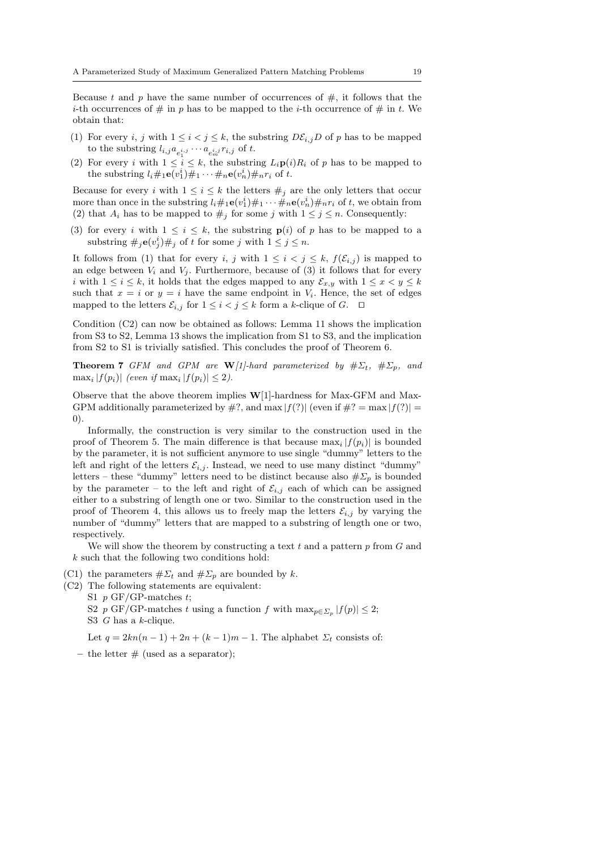Because t and p have the same number of occurrences of  $#$ , it follows that the *i*-th occurrences of  $\#$  in p has to be mapped to the *i*-th occurrence of  $\#$  in t. We obtain that:

- (1) For every i, j with  $1 \leq i < j \leq k$ , the substring  $D\mathcal{E}_{i,j}D$  of p has to be mapped to the substring  $l_{i,j}a_{e_1^{i,j}}\cdots a_{e_m^{i,j}}r_{i,j}$  of t.
- (2) For every i with  $1 \leq i \leq k$ , the substring  $L_i \mathbf{p}(i)R_i$  of p has to be mapped to the substring  $l_i \#_1 \mathbf{e}(v_1^i) \#_1 \cdots \#_n \mathbf{e}(v_n^i) \#_n r_i$  of t.

Because for every i with  $1 \leq i \leq k$  the letters  $\#_j$  are the only letters that occur more than once in the substring  $l_i \#_1 \mathbf{e}(v_1^i) \#_1 \cdots \#_n \mathbf{e}(v_n^i) \#_n r_i$  of t, we obtain from (2) that  $A_i$  has to be mapped to  $\#_j$  for some j with  $1 \leq j \leq n$ . Consequently:

(3) for every i with  $1 \leq i \leq k$ , the substring  $p(i)$  of p has to be mapped to a substring  $\#_j \mathbf{e}(v_j^i) \#_j$  of t for some j with  $1 \le j \le n$ .

It follows from (1) that for every i, j with  $1 \leq i \leq j \leq k$ ,  $f(\mathcal{E}_{i,j})$  is mapped to an edge between  $V_i$  and  $V_j$ . Furthermore, because of (3) it follows that for every i with  $1 \leq i \leq k$ , it holds that the edges mapped to any  $\mathcal{E}_{x,y}$  with  $1 \leq x < y \leq k$ such that  $x = i$  or  $y = i$  have the same endpoint in  $V_i$ . Hence, the set of edges mapped to the letters  $\mathcal{E}_{i,j}$  for  $1 \leq i < j \leq k$  form a k-clique of  $G$ . □

Condition (C2) can now be obtained as follows: Lemma 11 shows the implication from S3 to S2, Lemma 13 shows the implication from S1 to S3, and the implication from S2 to S1 is trivially satisfied. This concludes the proof of Theorem 6.

**Theorem 7** *GFM and GPM are*  $W[1]$ -hard parameterized by  $\# \Sigma_t$ ,  $\# \Sigma_p$ , and  $\max_i |f(p_i)|$  *(even if*  $\max_i |f(p_i)| \leq 2$ ).

Observe that the above theorem implies W[1]-hardness for Max-GFM and Max-GPM additionally parameterized by  $\#$ ?, and max  $|f(?)|$  (even if  $\#$ ? = max  $|f(?)|$  = 0).

Informally, the construction is very similar to the construction used in the proof of Theorem 5. The main difference is that because  $\max_i |f(p_i)|$  is bounded by the parameter, it is not sufficient anymore to use single "dummy" letters to the left and right of the letters  $\mathcal{E}_{i,j}$ . Instead, we need to use many distinct "dummy" letters – these "dummy" letters need to be distinct because also  $\# \Sigma_p$  is bounded by the parameter – to the left and right of  $\mathcal{E}_{i,j}$  each of which can be assigned either to a substring of length one or two. Similar to the construction used in the proof of Theorem 4, this allows us to freely map the letters  $\mathcal{E}_{i,j}$  by varying the number of "dummy" letters that are mapped to a substring of length one or two, respectively.

We will show the theorem by constructing a text  $t$  and a pattern  $p$  from  $G$  and k such that the following two conditions hold:

(C1) the parameters  $\#\Sigma_t$  and  $\#\Sigma_p$  are bounded by k.

(C2) The following statements are equivalent:

S1  $p$  GF/GP-matches  $t$ ;

S2 p GF/GP-matches t using a function f with  $\max_{p \in \Sigma_p} |f(p)| \leq 2$ ; S3 G has a k-clique.

Let  $q = 2kn(n-1) + 2n + (k-1)m - 1$ . The alphabet  $\Sigma_t$  consists of:

– the letter  $\#$  (used as a separator);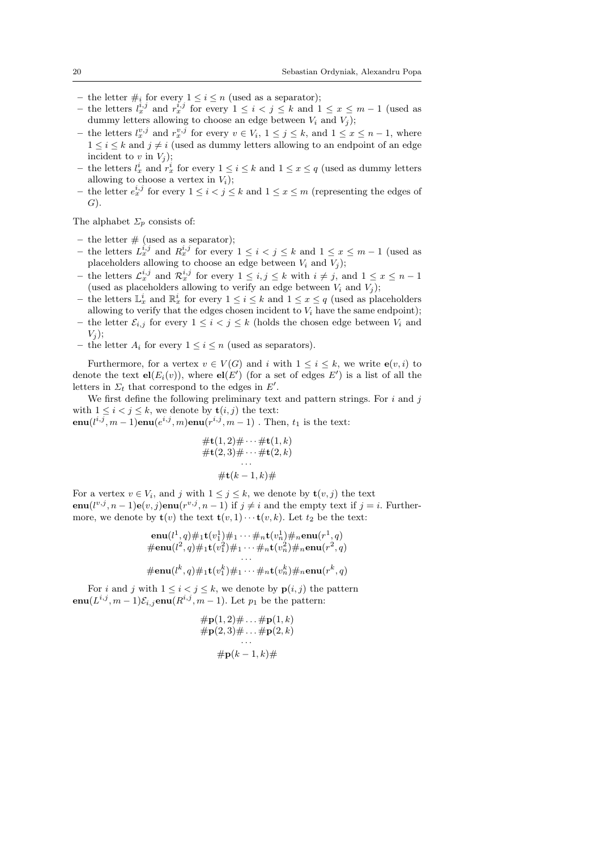- the letter  $\#_i$  for every  $1 \leq i \leq n$  (used as a separator);
- the letters  $l_x^{i,j}$  and  $r_x^{i,j}$  for every  $1 \leq i < j \leq k$  and  $1 \leq x \leq m-1$  (used as dummy letters allowing to choose an edge between  $V_i$  and  $V_j$ );
- − the letters  $l_x^{v,j}$  and  $r_x^{v,j}$  for every  $v \in V_i$ ,  $1 \le j \le k$ , and  $1 \le x \le n-1$ , where  $1 \leq i \leq k$  and  $j \neq i$  (used as dummy letters allowing to an endpoint of an edge incident to  $v$  in  $V_i$ );
- − the letters  $l_x^i$  and  $r_x^i$  for every  $1 \leq i \leq k$  and  $1 \leq x \leq q$  (used as dummy letters allowing to choose a vertex in  $V_i$ ;
- − the letter  $e^{i,j}_x$  for every  $1 \leq i < j \leq k$  and  $1 \leq x \leq m$  (representing the edges of  $G$ ).

The alphabet  $\Sigma_p$  consists of:

- the letter  $#$  (used as a separator);
- − the letters  $L_x^{i,j}$  and  $R_x^{i,j}$  for every  $1 \leq i < j \leq k$  and  $1 \leq x \leq m-1$  (used as placeholders allowing to choose an edge between  $V_i$  and  $V_j$ );
- − the letters  $\mathcal{L}_x^{i,j}$  and  $\mathcal{R}_x^{i,j}$  for every  $1 \leq i,j \leq k$  with  $i \neq j$ , and  $1 \leq x \leq n-1$ (used as placeholders allowing to verify an edge between  $V_i$  and  $V_j$ );
- − the letters  $\mathbb{L}^i_x$  and  $\mathbb{R}^i_x$  for every  $1 \leq i \leq k$  and  $1 \leq x \leq q$  (used as placeholders allowing to verify that the edges chosen incident to  $V_i$  have the same endpoint);
- the letter  $\mathcal{E}_{i,j}$  for every  $1 \leq i < j \leq k$  (holds the chosen edge between  $V_i$  and  $V_i$ ;
- the letter  $A_i$  for every  $1 \leq i \leq n$  (used as separators).

Furthermore, for a vertex  $v \in V(G)$  and i with  $1 \leq i \leq k$ , we write  $e(v, i)$  to denote the text  $el(E_i(v))$ , where  $el(E')$  (for a set of edges  $E'$ ) is a list of all the letters in  $\Sigma_t$  that correspond to the edges in  $E'$ .

We first define the following preliminary text and pattern strings. For  $i$  and  $j$ with  $1 \leq i < j \leq k$ , we denote by  $\mathbf{t}(i, j)$  the text:

 $\text{enu}(l^{i,j}, m-1)\text{enu}(e^{i,j},m)\text{enu}(r^{i,j},m-1)$ . Then,  $t_1$  is the text:

$$
\begin{aligned} \# \mathbf{t}(1,2) \# \cdots \# \mathbf{t}(1,k) \\ \# \mathbf{t}(2,3) \# \cdots \# \mathbf{t}(2,k) \\ \cdots \\ \# \mathbf{t}(k-1,k) \# \end{aligned}
$$

For a vertex  $v \in V_i$ , and j with  $1 \leq j \leq k$ , we denote by  $\mathbf{t}(v, j)$  the text **enu**( $l^{v,j}$ ,  $n-1$ )**e**( $v, j$ )**enu**( $r^{v,j}$ ,  $n-1$ ) if  $j \neq i$  and the empty text if  $j = i$ . Furthermore, we denote by  $\mathbf{t}(v)$  the text  $\mathbf{t}(v, 1) \cdots \mathbf{t}(v, k)$ . Let  $t_2$  be the text:

enu(l 1 , q)#1t(v 1 <sup>1</sup>)#<sup>1</sup> · · · #nt(v 1 <sup>n</sup>)#nenu(r 1 , q) #enu(l 2 , q)#1t(v 2 <sup>1</sup>)#<sup>1</sup> · · · #nt(v 2 <sup>n</sup>)#nenu(r 2 , q) · · · #enu(l k , q)#1t(v k <sup>1</sup> )#<sup>1</sup> · · · #nt(v k <sup>n</sup>)#nenu(r k , q)

For i and j with  $1 \leq i < j \leq k$ , we denote by  $p(i, j)$  the pattern  $\text{enu}(L^{i,j}, m-1)\mathcal{E}_{i,j}\text{enu}(R^{i,j}, m-1)$ . Let  $p_1$  be the pattern:

$$
\# \mathbf{p}(1,2) \# \dots \# \mathbf{p}(1,k) \n\# \mathbf{p}(2,3) \# \dots \# \mathbf{p}(2,k) \n\vdots \n\# \mathbf{p}(k-1,k) \#
$$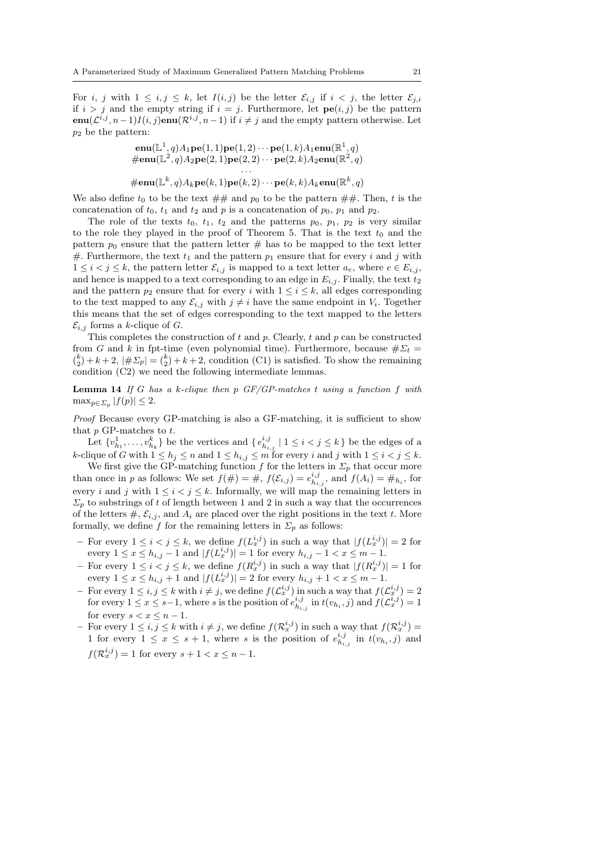For i, j with  $1 \le i, j \le k$ , let  $I(i, j)$  be the letter  $\mathcal{E}_{i,j}$  if  $i < j$ , the letter  $\mathcal{E}_{j,i}$ if  $i > j$  and the empty string if  $i = j$ . Furthermore, let  $\mathbf{pe}(i, j)$  be the pattern  $\text{enu}(\mathcal{L}^{i,j}, n-1)I(i,j)\text{enu}(\mathcal{R}^{i,j}, n-1)$  if  $i \neq j$  and the empty pattern otherwise. Let  $p_2$  be the pattern:

$$
\begin{aligned}\n&\mathbf{enu}(\mathbb{L}^1, q)A_1\mathbf{pe}(1, 1)\mathbf{pe}(1, 2)\cdots\mathbf{pe}(1, k)A_1\mathbf{enu}(\mathbb{R}^1, q) \\
&\# \mathbf{enu}(\mathbb{L}^2, q)A_2\mathbf{pe}(2, 1)\mathbf{pe}(2, 2)\cdots\mathbf{pe}(2, k)A_2\mathbf{enu}(\mathbb{R}^2, q) \\
&\cdots \\
&\# \mathbf{enu}(\mathbb{L}^k, q)A_k\mathbf{pe}(k, 1)\mathbf{pe}(k, 2)\cdots\mathbf{pe}(k, k)A_k\mathbf{enu}(\mathbb{R}^k, q)\n\end{aligned}
$$

We also define  $t_0$  to be the text  $\#\#$  and  $p_0$  to be the pattern  $\#\#$ . Then, t is the concatenation of  $t_0$ ,  $t_1$  and  $t_2$  and p is a concatenation of  $p_0$ ,  $p_1$  and  $p_2$ .

The role of the texts  $t_0$ ,  $t_1$ ,  $t_2$  and the patterns  $p_0$ ,  $p_1$ ,  $p_2$  is very similar to the role they played in the proof of Theorem 5. That is the text  $t_0$  and the pattern  $p_0$  ensure that the pattern letter  $#$  has to be mapped to the text letter #. Furthermore, the text  $t_1$  and the pattern  $p_1$  ensure that for every i and j with  $1 \leq i < j \leq k$ , the pattern letter  $\mathcal{E}_{i,j}$  is mapped to a text letter  $a_e$ , where  $e \in E_{i,j}$ , and hence is mapped to a text corresponding to an edge in  $E_{i,j}$ . Finally, the text  $t_2$ and the pattern  $p_2$  ensure that for every i with  $1 \le i \le k$ , all edges corresponding to the text mapped to any  $\mathcal{E}_{i,j}$  with  $j \neq i$  have the same endpoint in  $V_i$ . Together this means that the set of edges corresponding to the text mapped to the letters  $\mathcal{E}_{i,j}$  forms a k-clique of G.

This completes the construction of  $t$  and  $p$ . Clearly,  $t$  and  $p$  can be constructed from G and k in fpt-time (even polynomial time). Furthermore, because  $\# \Sigma_t =$  $\binom{k}{2} + k + 2$ ,  $|\# \Sigma_p| = \binom{k}{2} + k + 2$ , condition (C1) is satisfied. To show the remaining condition (C2) we need the following intermediate lemmas.

Lemma 14 *If* G *has a* k*-clique then* p *GF/GP-matches* t *using a function* f *with*  $\max_{p \in \Sigma_p} |f(p)| \leq 2.$ 

*Proof* Because every GP-matching is also a GF-matching, it is sufficient to show that  $p$  GP-matches to  $t$ .

Let  $\{v^1_{h_1}, \ldots, v^k_{h_k}\}$  be the vertices and  $\{e^{i,j}_{h_{i,j}} \mid 1 \leq i < j \leq k\}$  be the edges of a k-clique of G with  $1 \leq h_j \leq n$  and  $1 \leq h_{i,j} \leq m$  for every i and j with  $1 \leq i < j \leq k$ .

We first give the GP-matching function f for the letters in  $\Sigma_p$  that occur more than once in p as follows: We set  $f(\#)=\#$ ,  $f(\mathcal{E}_{i,j})=e_{h_{i,j}}^{i,j}$ , and  $f(A_i)=\#_{h_i}$ , for every *i* and *j* with  $1 \leq i < j \leq k$ . Informally, we will map the remaining letters in  $\Sigma_p$  to substrings of t of length between 1 and 2 in such a way that the occurrences of the letters  $\#$ ,  $\mathcal{E}_{i,j}$ , and  $A_i$  are placed over the right positions in the text t. More formally, we define f for the remaining letters in  $\Sigma_p$  as follows:

- For every  $1 \leq i < j \leq k$ , we define  $f(L_x^{i,j})$  in such a way that  $|f(L_x^{i,j})| = 2$  for every  $1 \le x \le h_{i,j} - 1$  and  $|f(L_x^{i,j})| = 1$  for every  $h_{i,j} - 1 < x \le m - 1$ .
- For every  $1 \leq i < j \leq k$ , we define  $f(R_x^{i,j})$  in such a way that  $|f(R_x^{i,j})| = 1$  for every  $1 \le x \le h_{i,j} + 1$  and  $|f(L_x^{i,j})| = 2$  for every  $h_{i,j} + 1 < x \le m - 1$ .
- For every  $1 \leq i, j \leq k$  with  $i \neq j$ , we define  $f(L_x^{i,j})$  in such a way that  $f(L_x^{i,j}) = 2$ for every  $1 \le x \le s-1$ , where s is the position of  $e_{h_{i,j}}^{i,j}$  in  $t(v_{h_i}, j)$  and  $f(\mathcal{L}_x^{i,j}) = 1$ for every  $s < x \leq n - 1$ .
- For every  $1 \le i, j \le k$  with  $i \ne j$ , we define  $f(\mathcal{R}_x^{i,j})$  in such a way that  $f(\mathcal{R}_x^{i,j}) =$ 1 for every  $1 \leq x \leq s+1$ , where s is the position of  $e_{h_{i,j}}^{i,j}$  in  $t(v_{h_i}, j)$  and  $f(\mathcal{R}_x^{i,j}) = 1$  for every  $s + 1 < x \leq n - 1$ .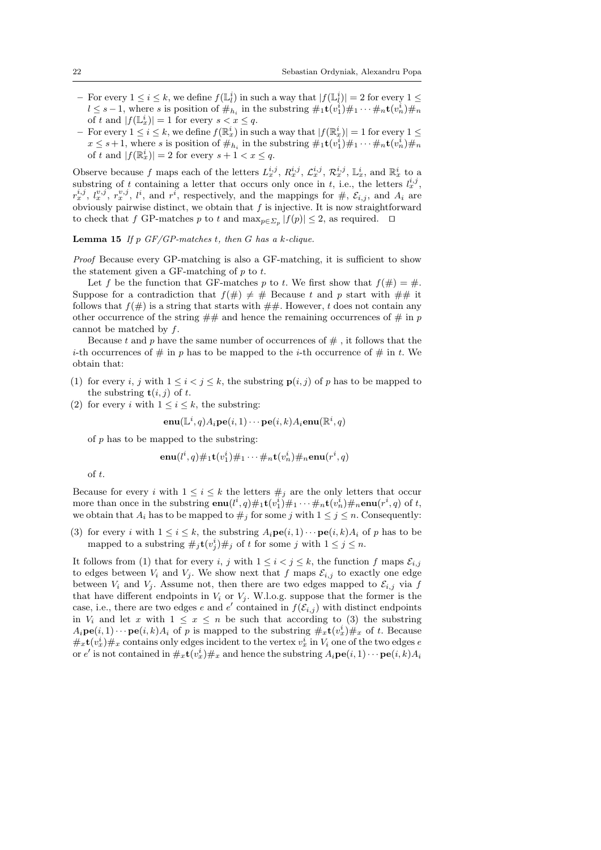- For every  $1 \leq i \leq k$ , we define  $f(\mathbb{L}^i_l)$  in such a way that  $|f(\mathbb{L}^i_l)| = 2$  for every  $1 \leq$  $l \leq s-1$ , where s is position of  $\#_{h_i}$  in the substring  $\#_1 \mathbf{t}(v_1^i) \#_1 \cdots \#_n \mathbf{t}(v_n^i) \#_n$ of t and  $|f(\mathbb{L}_x^i)| = 1$  for every  $s < x \leq q$ .
- $-$  For every  $1 \leq i \leq k$ , we define  $f(\mathbb{R}^i_x)$  in such a way that  $|f(\mathbb{R}^i_x)| = 1$  for every  $1 \leq$  $x \leq s+1$ , where s is position of  $\#_{h_i}$  in the substring  $\#_1 \mathbf{t}(v_1^i) \#_1 \cdots \#_n \mathbf{t}(v_n^i) \#_n$ of t and  $|f(\mathbb{R}^i_x)| = 2$  for every  $s + 1 < x \leq q$ .

Observe because f maps each of the letters  $L_x^{i,j}$ ,  $R_x^{i,j}$ ,  $\mathcal{L}_x^{i,j}$ ,  $\mathcal{R}_x^{i,j}$ ,  $\mathbb{L}_x^i$ , and  $\mathbb{R}_x^i$  to a substring of t containing a letter that occurs only once in t, i.e., the letters  $l_x^{i,j}$ ,  $r_x^{i,j}, l_x^{v,j}, r_x^{v,j}, l^i$ , and  $r^i$ , respectively, and the mappings for  $\#$ ,  $\mathcal{E}_{i,j}$ , and  $A_i$  are obviously pairwise distinct, we obtain that  $f$  is injective. It is now straightforward to check that f GP-matches p to t and  $\max_{p \in \Sigma_p} |f(p)| \leq 2$ , as required.  $\Box$ 

Lemma 15 *If* p *GF/GP-matches* t*, then* G *has a* k*-clique.*

*Proof* Because every GP-matching is also a GF-matching, it is sufficient to show the statement given a GF-matching of  $p$  to  $t$ .

Let f be the function that GF-matches p to t. We first show that  $f(\#)=\#$ . Suppose for a contradiction that  $f(\#) \neq \#$  Because t and p start with  $\# \#$  it follows that  $f(\#)$  is a string that starts with  $\##$ . However, t does not contain any other occurrence of the string  $\#\#$  and hence the remaining occurrences of  $\#$  in p cannot be matched by f.

Because t and p have the same number of occurrences of  $\#$ , it follows that the *i*-th occurrences of  $\#$  in p has to be mapped to the *i*-th occurrence of  $\#$  in t. We obtain that:

- (1) for every i, j with  $1 \leq i < j \leq k$ , the substring  $p(i, j)$  of p has to be mapped to the substring  $t(i, j)$  of t.
- (2) for every i with  $1 \leq i \leq k$ , the substring:

$$
\mathbf{enu}(\mathbb{L}^i,q)A_i \mathbf{pe}(i,1) \cdots \mathbf{pe}(i,k)A_i \mathbf{enu}(\mathbb{R}^i,q)
$$

of  $p$  has to be mapped to the substring:

$$
\mathbf{enu}(l^i,q)\#_1\mathbf{t}(v_1^i)\#_1\cdots\#_n\mathbf{t}(v_n^i)\#_n\mathbf{enu}(r^i,q)
$$

of t.

Because for every i with  $1 \leq i \leq k$  the letters  $\#_j$  are the only letters that occur more than once in the substring  $\mathbf{enu}(l^i, q) \#_1 \mathbf{t}(v_1^i) \#_1 \cdots \#_n \mathbf{t}(v_n^i) \#_n \mathbf{enu}(r^i, q)$  of t, we obtain that  $A_i$  has to be mapped to  $\#_i$  for some j with  $1 \leq j \leq n$ . Consequently:

(3) for every i with  $1 \leq i \leq k$ , the substring  $A_i \mathbf{pe}(i,1) \cdots \mathbf{pe}(i,k) A_i$  of p has to be mapped to a substring  $\#_j \mathbf{t}(v_j^i) \#_j$  of t for some j with  $1 \leq j \leq n$ .

It follows from (1) that for every i, j with  $1 \leq i < j \leq k$ , the function f maps  $\mathcal{E}_{i,j}$ to edges between  $V_i$  and  $V_j$ . We show next that f maps  $\mathcal{E}_{i,j}$  to exactly one edge between  $V_i$  and  $V_j$ . Assume not, then there are two edges mapped to  $\mathcal{E}_{i,j}$  via f that have different endpoints in  $V_i$  or  $V_j$ . W.l.o.g. suppose that the former is the case, i.e., there are two edges e and  $e'$  contained in  $f(\mathcal{E}_{i,j})$  with distinct endpoints in  $V_i$  and let x with  $1 \leq x \leq n$  be such that according to (3) the substring  $A_i \mathbf{pe}(i,1) \cdots \mathbf{pe}(i,k) A_i$  of p is mapped to the substring  $\#_x \mathbf{t}(v_x^i) \#_x$  of t. Because  $#_x \mathbf{t}(v_x^i) \#_x$  contains only edges incident to the vertex  $v_x^i$  in  $V_i$  one of the two edges e or  $e'$  is not contained in  $\#_x \mathbf{t}(v_x^i) \#_x$  and hence the substring  $A_i \mathbf{pe}(i,1) \cdots \mathbf{pe}(i,k) A_i$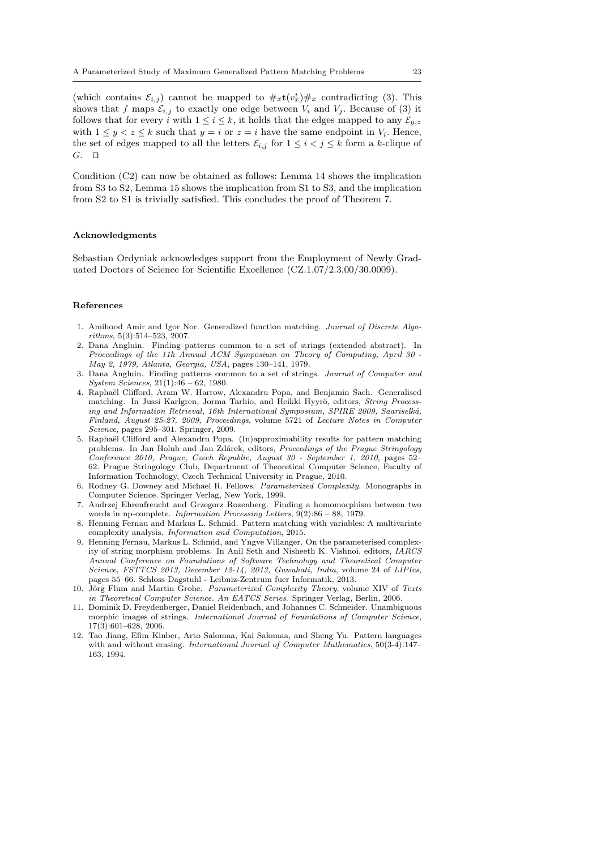(which contains  $\mathcal{E}_{i,j}$ ) cannot be mapped to  $\#_x \mathbf{t}(v_x^i) \#_x$  contradicting (3). This shows that f maps  $\mathcal{E}_{i,j}$  to exactly one edge between  $V_i$  and  $V_j$ . Because of (3) it follows that for every i with  $1 \leq i \leq k$ , it holds that the edges mapped to any  $\mathcal{E}_{y,z}$ with  $1 \leq y < z \leq k$  such that  $y = i$  or  $z = i$  have the same endpoint in  $V_i$ . Hence, the set of edges mapped to all the letters  $\mathcal{E}_{i,j}$  for  $1 \leq i < j \leq k$  form a k-clique of G. ⊓⊔

Condition (C2) can now be obtained as follows: Lemma 14 shows the implication from S3 to S2, Lemma 15 shows the implication from S1 to S3, and the implication from S2 to S1 is trivially satisfied. This concludes the proof of Theorem 7.

#### Acknowledgments

Sebastian Ordyniak acknowledges support from the Employment of Newly Graduated Doctors of Science for Scientific Excellence (CZ.1.07/2.3.00/30.0009).

#### References

- 1. Amihood Amir and Igor Nor. Generalized function matching. Journal of Discrete Algorithms, 5(3):514–523, 2007.
- 2. Dana Angluin. Finding patterns common to a set of strings (extended abstract). In Proceedings of the 11h Annual ACM Symposium on Theory of Computing, April 30 - May 2, 1979, Atlanta, Georgia, USA, pages 130–141, 1979.
- 3. Dana Angluin. Finding patterns common to a set of strings. Journal of Computer and System Sciences, 21(1):46 – 62, 1980.
- 4. Rapha¨el Clifford, Aram W. Harrow, Alexandru Popa, and Benjamin Sach. Generalised matching. In Jussi Karlgren, Jorma Tarhio, and Heikki Hyyrö, editors, String Processing and Information Retrieval, 16th International Symposium, SPIRE 2009, Saariselkä, Finland, August 25-27, 2009, Proceedings, volume 5721 of Lecture Notes in Computer Science, pages 295–301. Springer, 2009.
- 5. Raphaël Clifford and Alexandru Popa. (In)approximability results for pattern matching problems. In Jan Holub and Jan Zd´arek, editors, Proceedings of the Prague Stringology Conference 2010, Prague, Czech Republic, August 30 - September 1, 2010, pages 52– 62. Prague Stringology Club, Department of Theoretical Computer Science, Faculty of Information Technology, Czech Technical University in Prague, 2010.
- 6. Rodney G. Downey and Michael R. Fellows. Parameterized Complexity. Monographs in Computer Science. Springer Verlag, New York, 1999.
- 7. Andrzej Ehrenfreucht and Grzegorz Rozenberg. Finding a homomorphism between two words in np-complete. Information Processing Letters, 9(2):86 – 88, 1979.
- 8. Henning Fernau and Markus L. Schmid. Pattern matching with variables: A multivariate complexity analysis. Information and Computation, 2015.
- 9. Henning Fernau, Markus L. Schmid, and Yngve Villanger. On the parameterised complexity of string morphism problems. In Anil Seth and Nisheeth K. Vishnoi, editors, IARCS Annual Conference on Foundations of Software Technology and Theoretical Computer Science, FSTTCS 2013, December 12-14, 2013, Guwahati, India, volume 24 of LIPIcs, pages 55–66. Schloss Dagstuhl - Leibniz-Zentrum fuer Informatik, 2013.
- 10. Jörg Flum and Martin Grohe. Parameterized Complexity Theory, volume XIV of Texts in Theoretical Computer Science. An EATCS Series. Springer Verlag, Berlin, 2006.
- 11. Dominik D. Freydenberger, Daniel Reidenbach, and Johannes C. Schneider. Unambiguous morphic images of strings. International Journal of Foundations of Computer Science, 17(3):601–628, 2006.
- 12. Tao Jiang, Efim Kinber, Arto Salomaa, Kai Salomaa, and Sheng Yu. Pattern languages with and without erasing. International Journal of Computer Mathematics, 50(3-4):147– 163, 1994.